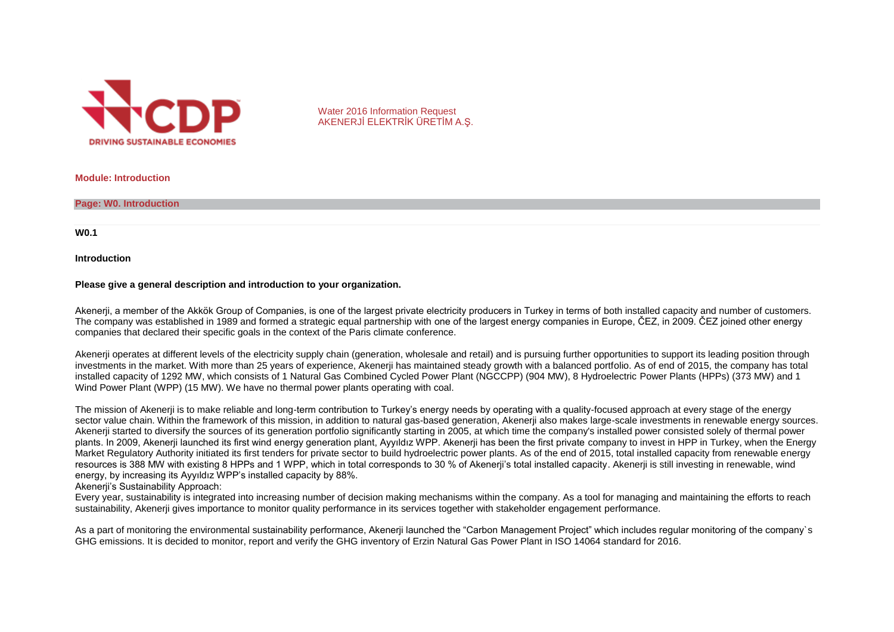

Water 2016 Information Request AKENERJİ ELEKTRİK ÜRETİM A.Ş.

**Module: Introduction**

**Page: W0. Introduction**

**W0.1**

**Introduction**

#### **Please give a general description and introduction to your organization.**

Akenerji, a member of the Akkök Group of Companies, is one of the largest private electricity producers in Turkey in terms of both installed capacity and number of customers. The company was established in 1989 and formed a strategic equal partnership with one of the largest energy companies in Europe, ČEZ, in 2009. ČEZ joined other energy companies that declared their specific goals in the context of the Paris climate conference.

Akenerii operates at different levels of the electricity supply chain (generation, wholesale and retail) and is pursuing further opportunities to support its leading position through investments in the market. With more than 25 years of experience, Akenerji has maintained steady growth with a balanced portfolio. As of end of 2015, the company has total installed capacity of 1292 MW, which consists of 1 Natural Gas Combined Cycled Power Plant (NGCCPP) (904 MW), 8 Hydroelectric Power Plants (HPPs) (373 MW) and 1 Wind Power Plant (WPP) (15 MW). We have no thermal power plants operating with coal.

The mission of Akenerji is to make reliable and long-term contribution to Turkey's energy needs by operating with a quality-focused approach at every stage of the energy sector value chain. Within the framework of this mission, in addition to natural gas-based generation, Akenerii also makes large-scale investments in renewable energy sources. Akenerij started to diversify the sources of its generation portfolio significantly starting in 2005, at which time the company's installed power consisted solely of thermal power plants. In 2009, Akenerji launched its first wind energy generation plant, Ayyıldız WPP. Akenerji has been the first private company to invest in HPP in Turkey, when the Energy Market Regulatory Authority initiated its first tenders for private sector to build hydroelectric power plants. As of the end of 2015, total installed capacity from renewable energy resources is 388 MW with existing 8 HPPs and 1 WPP, which in total corresponds to 30 % of Akenerii's total installed capacity. Akenerii is still investing in renewable, wind energy, by increasing its Ayyıldız WPP's installed capacity by 88%.

Akenerii's Sustainability Approach:

Every year, sustainability is integrated into increasing number of decision making mechanisms within the company. As a tool for managing and maintaining the efforts to reach sustainability. Akenerii gives importance to monitor quality performance in its services together with stakeholder engagement performance.

As a part of monitoring the environmental sustainability performance, Akenerji launched the "Carbon Management Project" which includes regular monitoring of the company`s GHG emissions. It is decided to monitor, report and verify the GHG inventory of Erzin Natural Gas Power Plant in ISO 14064 standard for 2016.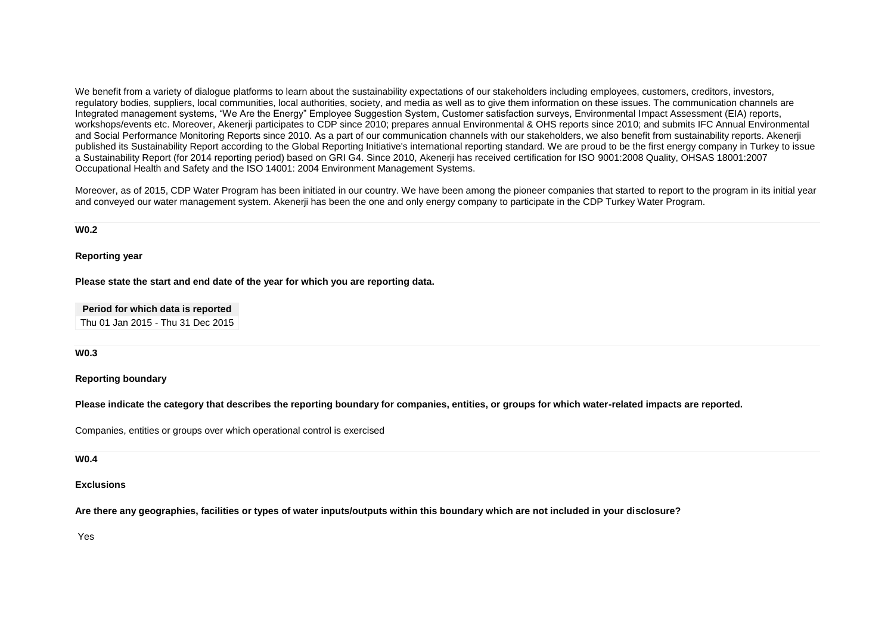We benefit from a variety of dialogue platforms to learn about the sustainability expectations of our stakeholders including employees, customers, creditors, investors, regulatory bodies, suppliers, local communities, local authorities, society, and media as well as to give them information on these issues. The communication channels are Integrated management systems, "We Are the Energy" Employee Suggestion System, Customer satisfaction surveys, Environmental Impact Assessment (EIA) reports, workshops/events etc. Moreover, Akenerji participates to CDP since 2010; prepares annual Environmental & OHS reports since 2010; and submits IFC Annual Environmental and Social Performance Monitoring Reports since 2010. As a part of our communication channels with our stakeholders, we also benefit from sustainability reports. Akenerji published its Sustainability Report according to the Global Reporting Initiative's international reporting standard. We are proud to be the first energy company in Turkey to issue a Sustainability Report (for 2014 reporting period) based on GRI G4. Since 2010, Akenerji has received certification for ISO 9001:2008 Quality, OHSAS 18001:2007 Occupational Health and Safety and the ISO 14001: 2004 Environment Management Systems.

Moreover, as of 2015, CDP Water Program has been initiated in our country. We have been among the pioneer companies that started to report to the program in its initial year and conveyed our water management system. Akenerji has been the one and only energy company to participate in the CDP Turkey Water Program.

**W0.2**

**Reporting year**

**Please state the start and end date of the year for which you are reporting data.**

**Period for which data is reported** Thu 01 Jan 2015 - Thu 31 Dec 2015

**W0.3**

**Reporting boundary**

**Please indicate the category that describes the reporting boundary for companies, entities, or groups for which water-related impacts are reported.**

Companies, entities or groups over which operational control is exercised

**W0.4**

**Exclusions**

**Are there any geographies, facilities or types of water inputs/outputs within this boundary which are not included in your disclosure?**

Yes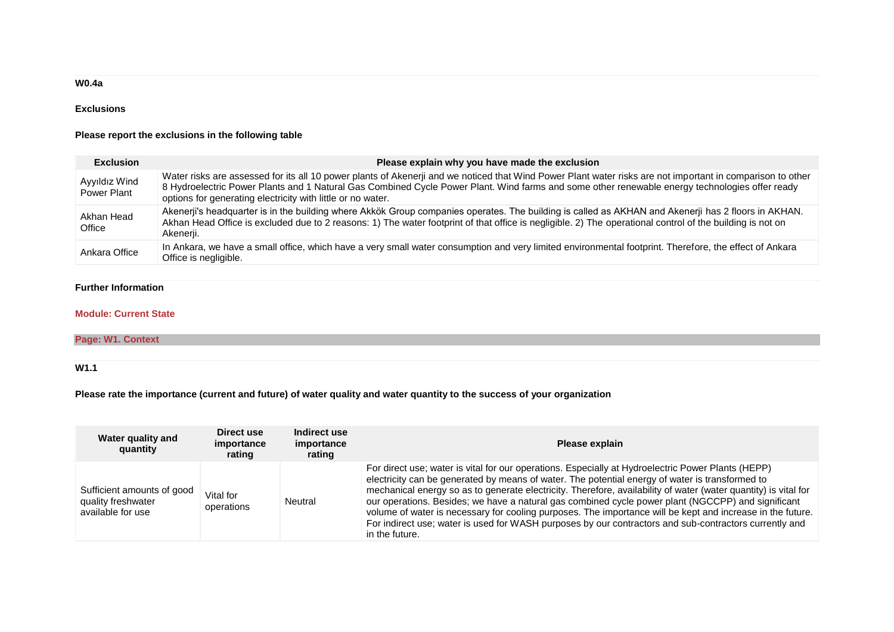## **W0.4a**

## **Exclusions**

### **Please report the exclusions in the following table**

| <b>Exclusion</b>             | Please explain why you have made the exclusion                                                                                                                                                                                                                                                                                                                              |
|------------------------------|-----------------------------------------------------------------------------------------------------------------------------------------------------------------------------------------------------------------------------------------------------------------------------------------------------------------------------------------------------------------------------|
| Ayyıldız Wind<br>Power Plant | Water risks are assessed for its all 10 power plants of Akenerji and we noticed that Wind Power Plant water risks are not important in comparison to other<br>8 Hydroelectric Power Plants and 1 Natural Gas Combined Cycle Power Plant. Wind farms and some other renewable energy technologies offer ready<br>options for generating electricity with little or no water. |
| Akhan Head<br>Office         | Akenerji's headquarter is in the building where Akkök Group companies operates. The building is called as AKHAN and Akenerji has 2 floors in AKHAN.<br>Akhan Head Office is excluded due to 2 reasons: 1) The water footprint of that office is negligible. 2) The operational control of the building is not on<br>Akenerji.                                               |
| Ankara Office                | In Ankara, we have a small office, which have a very small water consumption and very limited environmental footprint. Therefore, the effect of Ankara<br>Office is negligible.                                                                                                                                                                                             |

## **Further Information**

### **Module: Current State**

# **Page: W1. Context**

## **W1.1**

**Please rate the importance (current and future) of water quality and water quantity to the success of your organization**

| Water quality and<br>quantity                                         | Direct use<br>importance<br>rating | Indirect use<br>importance<br>rating | Please explain                                                                                                                                                                                                                                                                                                                                                                                                                                                                                                                                                                                                                                                           |
|-----------------------------------------------------------------------|------------------------------------|--------------------------------------|--------------------------------------------------------------------------------------------------------------------------------------------------------------------------------------------------------------------------------------------------------------------------------------------------------------------------------------------------------------------------------------------------------------------------------------------------------------------------------------------------------------------------------------------------------------------------------------------------------------------------------------------------------------------------|
| Sufficient amounts of good<br>quality freshwater<br>available for use | Vital for<br>operations            | Neutral                              | For direct use; water is vital for our operations. Especially at Hydroelectric Power Plants (HEPP)<br>electricity can be generated by means of water. The potential energy of water is transformed to<br>mechanical energy so as to generate electricity. Therefore, availability of water (water quantity) is vital for<br>our operations. Besides; we have a natural gas combined cycle power plant (NGCCPP) and significant<br>volume of water is necessary for cooling purposes. The importance will be kept and increase in the future.<br>For indirect use; water is used for WASH purposes by our contractors and sub-contractors currently and<br>in the future. |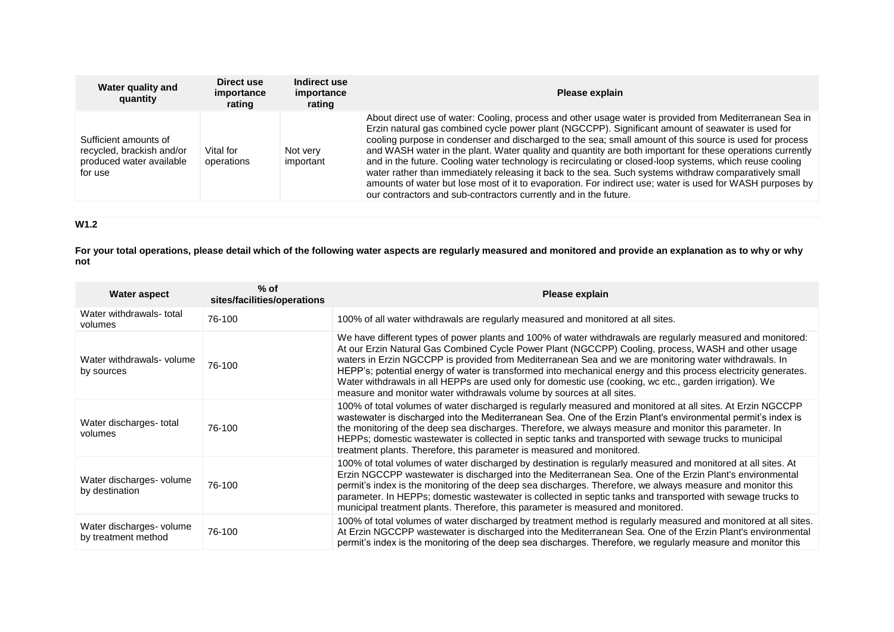| Water quality and<br>quantity                                                             | Direct use<br>importance<br>rating | Indirect use<br>importance<br>rating | Please explain                                                                                                                                                                                                                                                                                                                                                                                                                                                                                                                                                                                                                                                                                                                                                                                                                             |
|-------------------------------------------------------------------------------------------|------------------------------------|--------------------------------------|--------------------------------------------------------------------------------------------------------------------------------------------------------------------------------------------------------------------------------------------------------------------------------------------------------------------------------------------------------------------------------------------------------------------------------------------------------------------------------------------------------------------------------------------------------------------------------------------------------------------------------------------------------------------------------------------------------------------------------------------------------------------------------------------------------------------------------------------|
| Sufficient amounts of<br>recycled, brackish and/or<br>produced water available<br>for use | Vital for<br>operations            | Not very<br>important                | About direct use of water: Cooling, process and other usage water is provided from Mediterranean Sea in<br>Erzin natural gas combined cycle power plant (NGCCPP). Significant amount of seawater is used for<br>cooling purpose in condenser and discharged to the sea; small amount of this source is used for process<br>and WASH water in the plant. Water quality and quantity are both important for these operations currently<br>and in the future. Cooling water technology is recirculating or closed-loop systems, which reuse cooling<br>water rather than immediately releasing it back to the sea. Such systems withdraw comparatively small<br>amounts of water but lose most of it to evaporation. For indirect use; water is used for WASH purposes by<br>our contractors and sub-contractors currently and in the future. |

# **W1.2**

**For your total operations, please detail which of the following water aspects are regularly measured and monitored and provide an explanation as to why or why not**

| <b>Water aspect</b>                             | $%$ of<br>sites/facilities/operations | Please explain                                                                                                                                                                                                                                                                                                                                                                                                                                                                                                                                                                                                                     |
|-------------------------------------------------|---------------------------------------|------------------------------------------------------------------------------------------------------------------------------------------------------------------------------------------------------------------------------------------------------------------------------------------------------------------------------------------------------------------------------------------------------------------------------------------------------------------------------------------------------------------------------------------------------------------------------------------------------------------------------------|
| Water withdrawals-total<br>volumes              | 76-100                                | 100% of all water withdrawals are regularly measured and monitored at all sites.                                                                                                                                                                                                                                                                                                                                                                                                                                                                                                                                                   |
| Water withdrawals- volume<br>by sources         | 76-100                                | We have different types of power plants and 100% of water withdrawals are regularly measured and monitored:<br>At our Erzin Natural Gas Combined Cycle Power Plant (NGCCPP) Cooling, process, WASH and other usage<br>waters in Erzin NGCCPP is provided from Mediterranean Sea and we are monitoring water withdrawals. In<br>HEPP's; potential energy of water is transformed into mechanical energy and this process electricity generates.<br>Water withdrawals in all HEPPs are used only for domestic use (cooking, wc etc., garden irrigation). We<br>measure and monitor water withdrawals volume by sources at all sites. |
| Water discharges-total<br>volumes               | 76-100                                | 100% of total volumes of water discharged is regularly measured and monitored at all sites. At Erzin NGCCPP<br>wastewater is discharged into the Mediterranean Sea. One of the Erzin Plant's environmental permit's index is<br>the monitoring of the deep sea discharges. Therefore, we always measure and monitor this parameter. In<br>HEPPs; domestic wastewater is collected in septic tanks and transported with sewage trucks to municipal<br>treatment plants. Therefore, this parameter is measured and monitored.                                                                                                        |
| Water discharges- volume<br>by destination      | 76-100                                | 100% of total volumes of water discharged by destination is regularly measured and monitored at all sites. At<br>Erzin NGCCPP wastewater is discharged into the Mediterranean Sea. One of the Erzin Plant's environmental<br>permit's index is the monitoring of the deep sea discharges. Therefore, we always measure and monitor this<br>parameter. In HEPPs; domestic wastewater is collected in septic tanks and transported with sewage trucks to<br>municipal treatment plants. Therefore, this parameter is measured and monitored.                                                                                         |
| Water discharges- volume<br>by treatment method | 76-100                                | 100% of total volumes of water discharged by treatment method is regularly measured and monitored at all sites.<br>At Erzin NGCCPP wastewater is discharged into the Mediterranean Sea. One of the Erzin Plant's environmental<br>permit's index is the monitoring of the deep sea discharges. Therefore, we regularly measure and monitor this                                                                                                                                                                                                                                                                                    |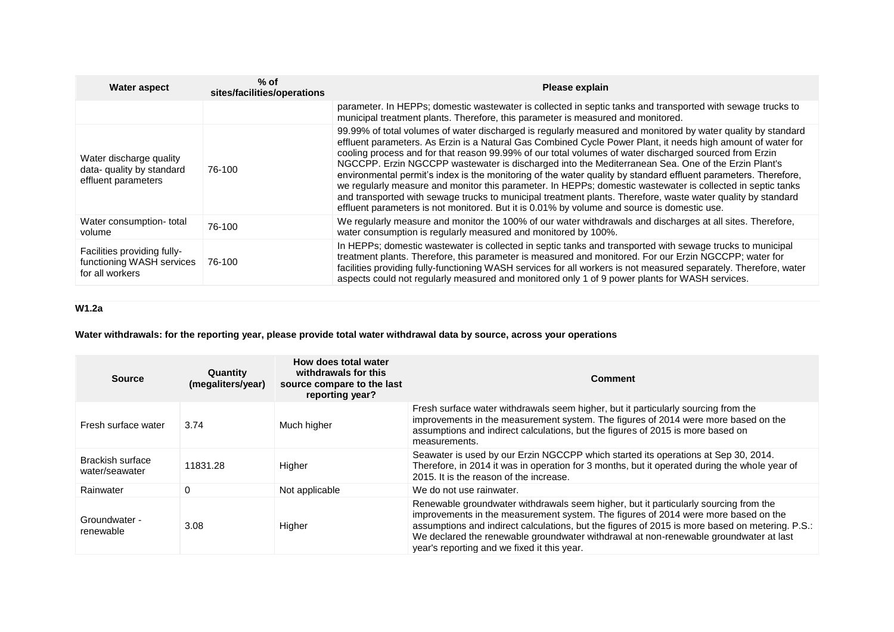| <b>Water aspect</b>                                                         | $%$ of<br>sites/facilities/operations | Please explain                                                                                                                                                                                                                                                                                                                                                                                                                                                                                                                                                                                                                                                                                                                                                                                                                                                                                |
|-----------------------------------------------------------------------------|---------------------------------------|-----------------------------------------------------------------------------------------------------------------------------------------------------------------------------------------------------------------------------------------------------------------------------------------------------------------------------------------------------------------------------------------------------------------------------------------------------------------------------------------------------------------------------------------------------------------------------------------------------------------------------------------------------------------------------------------------------------------------------------------------------------------------------------------------------------------------------------------------------------------------------------------------|
|                                                                             |                                       | parameter. In HEPPs; domestic wastewater is collected in septic tanks and transported with sewage trucks to<br>municipal treatment plants. Therefore, this parameter is measured and monitored.                                                                                                                                                                                                                                                                                                                                                                                                                                                                                                                                                                                                                                                                                               |
| Water discharge quality<br>data- quality by standard<br>effluent parameters | 76-100                                | 99.99% of total volumes of water discharged is regularly measured and monitored by water quality by standard<br>effluent parameters. As Erzin is a Natural Gas Combined Cycle Power Plant, it needs high amount of water for<br>cooling process and for that reason 99.99% of our total volumes of water discharged sourced from Erzin<br>NGCCPP. Erzin NGCCPP wastewater is discharged into the Mediterranean Sea. One of the Erzin Plant's<br>environmental permit's index is the monitoring of the water quality by standard effluent parameters. Therefore,<br>we regularly measure and monitor this parameter. In HEPPs; domestic wastewater is collected in septic tanks<br>and transported with sewage trucks to municipal treatment plants. Therefore, waste water quality by standard<br>effluent parameters is not monitored. But it is 0.01% by volume and source is domestic use. |
| Water consumption-total<br>volume                                           | 76-100                                | We regularly measure and monitor the 100% of our water withdrawals and discharges at all sites. Therefore,<br>water consumption is regularly measured and monitored by 100%.                                                                                                                                                                                                                                                                                                                                                                                                                                                                                                                                                                                                                                                                                                                  |
| Facilities providing fully-<br>functioning WASH services<br>for all workers | 76-100                                | In HEPPs; domestic wastewater is collected in septic tanks and transported with sewage trucks to municipal<br>treatment plants. Therefore, this parameter is measured and monitored. For our Erzin NGCCPP; water for<br>facilities providing fully-functioning WASH services for all workers is not measured separately. Therefore, water<br>aspects could not regularly measured and monitored only 1 of 9 power plants for WASH services.                                                                                                                                                                                                                                                                                                                                                                                                                                                   |

# **W1.2a**

# **Water withdrawals: for the reporting year, please provide total water withdrawal data by source, across your operations**

| <b>Source</b>                      | Quantity<br>(megaliters/year) | How does total water<br>withdrawals for this<br>source compare to the last<br>reporting year? | <b>Comment</b>                                                                                                                                                                                                                                                                                                                                                                                                        |
|------------------------------------|-------------------------------|-----------------------------------------------------------------------------------------------|-----------------------------------------------------------------------------------------------------------------------------------------------------------------------------------------------------------------------------------------------------------------------------------------------------------------------------------------------------------------------------------------------------------------------|
| Fresh surface water                | 3.74                          | Much higher                                                                                   | Fresh surface water withdrawals seem higher, but it particularly sourcing from the<br>improvements in the measurement system. The figures of 2014 were more based on the<br>assumptions and indirect calculations, but the figures of 2015 is more based on<br>measurements.                                                                                                                                          |
| Brackish surface<br>water/seawater | 11831.28                      | Higher                                                                                        | Seawater is used by our Erzin NGCCPP which started its operations at Sep 30, 2014.<br>Therefore, in 2014 it was in operation for 3 months, but it operated during the whole year of<br>2015. It is the reason of the increase.                                                                                                                                                                                        |
| Rainwater                          | $\Omega$                      | Not applicable                                                                                | We do not use rainwater.                                                                                                                                                                                                                                                                                                                                                                                              |
| Groundwater -<br>renewable         | 3.08                          | Higher                                                                                        | Renewable groundwater withdrawals seem higher, but it particularly sourcing from the<br>improvements in the measurement system. The figures of 2014 were more based on the<br>assumptions and indirect calculations, but the figures of 2015 is more based on metering. P.S.:<br>We declared the renewable groundwater withdrawal at non-renewable groundwater at last<br>year's reporting and we fixed it this year. |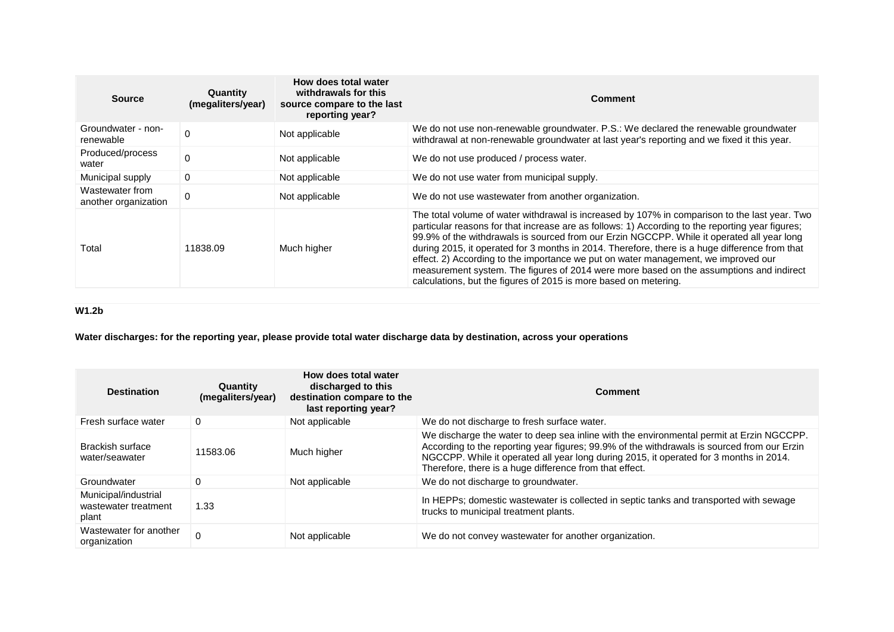| <b>Source</b>                           | Quantity<br>(megaliters/year) | How does total water<br>withdrawals for this<br>source compare to the last<br>reporting year? | Comment                                                                                                                                                                                                                                                                                                                                                                                                                                                                                                                                                                                                                                                |
|-----------------------------------------|-------------------------------|-----------------------------------------------------------------------------------------------|--------------------------------------------------------------------------------------------------------------------------------------------------------------------------------------------------------------------------------------------------------------------------------------------------------------------------------------------------------------------------------------------------------------------------------------------------------------------------------------------------------------------------------------------------------------------------------------------------------------------------------------------------------|
| Groundwater - non-<br>renewable         | $\Omega$                      | Not applicable                                                                                | We do not use non-renewable groundwater. P.S.: We declared the renewable groundwater<br>withdrawal at non-renewable groundwater at last year's reporting and we fixed it this year.                                                                                                                                                                                                                                                                                                                                                                                                                                                                    |
| Produced/process<br>water               | $\Omega$                      | Not applicable                                                                                | We do not use produced / process water.                                                                                                                                                                                                                                                                                                                                                                                                                                                                                                                                                                                                                |
| Municipal supply                        | 0                             | Not applicable                                                                                | We do not use water from municipal supply.                                                                                                                                                                                                                                                                                                                                                                                                                                                                                                                                                                                                             |
| Wastewater from<br>another organization | 0                             | Not applicable                                                                                | We do not use wastewater from another organization.                                                                                                                                                                                                                                                                                                                                                                                                                                                                                                                                                                                                    |
| Total                                   | 11838.09                      | Much higher                                                                                   | The total volume of water withdrawal is increased by 107% in comparison to the last year. Two<br>particular reasons for that increase are as follows: 1) According to the reporting year figures;<br>99.9% of the withdrawals is sourced from our Erzin NGCCPP. While it operated all year long<br>during 2015, it operated for 3 months in 2014. Therefore, there is a huge difference from that<br>effect. 2) According to the importance we put on water management, we improved our<br>measurement system. The figures of 2014 were more based on the assumptions and indirect<br>calculations, but the figures of 2015 is more based on metering. |

# **W1.2b**

**Water discharges: for the reporting year, please provide total water discharge data by destination, across your operations**

| <b>Destination</b>                                    | Quantity<br>(megaliters/year) | How does total water<br>discharged to this<br>destination compare to the<br>last reporting year? | Comment                                                                                                                                                                                                                                                                                                                                      |
|-------------------------------------------------------|-------------------------------|--------------------------------------------------------------------------------------------------|----------------------------------------------------------------------------------------------------------------------------------------------------------------------------------------------------------------------------------------------------------------------------------------------------------------------------------------------|
| Fresh surface water                                   | 0                             | Not applicable                                                                                   | We do not discharge to fresh surface water.                                                                                                                                                                                                                                                                                                  |
| Brackish surface<br>water/seawater                    | 11583.06                      | Much higher                                                                                      | We discharge the water to deep sea inline with the environmental permit at Erzin NGCCPP.<br>According to the reporting year figures; 99.9% of the withdrawals is sourced from our Erzin<br>NGCCPP. While it operated all year long during 2015, it operated for 3 months in 2014.<br>Therefore, there is a huge difference from that effect. |
| Groundwater                                           | $\Omega$                      | Not applicable                                                                                   | We do not discharge to groundwater.                                                                                                                                                                                                                                                                                                          |
| Municipal/industrial<br>wastewater treatment<br>plant | 1.33                          |                                                                                                  | In HEPPs; domestic wastewater is collected in septic tanks and transported with sewage<br>trucks to municipal treatment plants.                                                                                                                                                                                                              |
| Wastewater for another<br>organization                |                               | Not applicable                                                                                   | We do not convey wastewater for another organization.                                                                                                                                                                                                                                                                                        |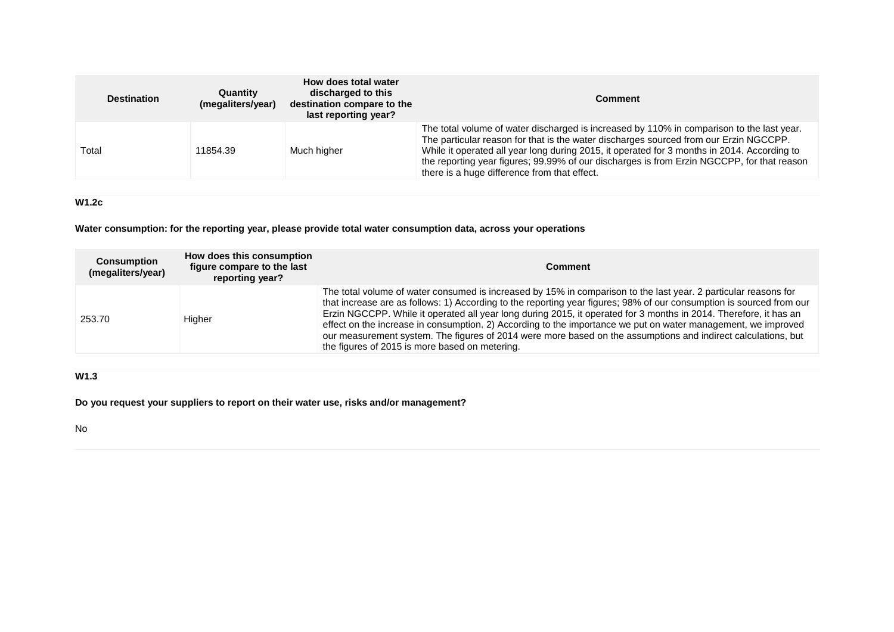| <b>Destination</b> | Quantity<br>(megaliters/year) | How does total water<br>discharged to this<br>destination compare to the<br>last reporting year? | <b>Comment</b>                                                                                                                                                                                                                                                                                                                                                                                                                  |
|--------------------|-------------------------------|--------------------------------------------------------------------------------------------------|---------------------------------------------------------------------------------------------------------------------------------------------------------------------------------------------------------------------------------------------------------------------------------------------------------------------------------------------------------------------------------------------------------------------------------|
| Total              | 11854.39                      | Much higher                                                                                      | The total volume of water discharged is increased by 110% in comparison to the last year.<br>The particular reason for that is the water discharges sourced from our Erzin NGCCPP.<br>While it operated all year long during 2015, it operated for 3 months in 2014. According to<br>the reporting year figures; 99.99% of our discharges is from Erzin NGCCPP, for that reason<br>there is a huge difference from that effect. |

## **W1.2c**

**Water consumption: for the reporting year, please provide total water consumption data, across your operations**

| <b>Consumption</b><br>(megaliters/year) | How does this consumption<br>figure compare to the last<br>reporting year? | <b>Comment</b>                                                                                                                                                                                                                                                                                                                                                                                                                                                                                                                                                                                                                                   |
|-----------------------------------------|----------------------------------------------------------------------------|--------------------------------------------------------------------------------------------------------------------------------------------------------------------------------------------------------------------------------------------------------------------------------------------------------------------------------------------------------------------------------------------------------------------------------------------------------------------------------------------------------------------------------------------------------------------------------------------------------------------------------------------------|
| 253.70                                  | Higher                                                                     | The total volume of water consumed is increased by 15% in comparison to the last year. 2 particular reasons for<br>that increase are as follows: 1) According to the reporting year figures; 98% of our consumption is sourced from our<br>Erzin NGCCPP. While it operated all year long during 2015, it operated for 3 months in 2014. Therefore, it has an<br>effect on the increase in consumption. 2) According to the importance we put on water management, we improved<br>our measurement system. The figures of 2014 were more based on the assumptions and indirect calculations, but<br>the figures of 2015 is more based on metering. |

# **W1.3**

**Do you request your suppliers to report on their water use, risks and/or management?**

No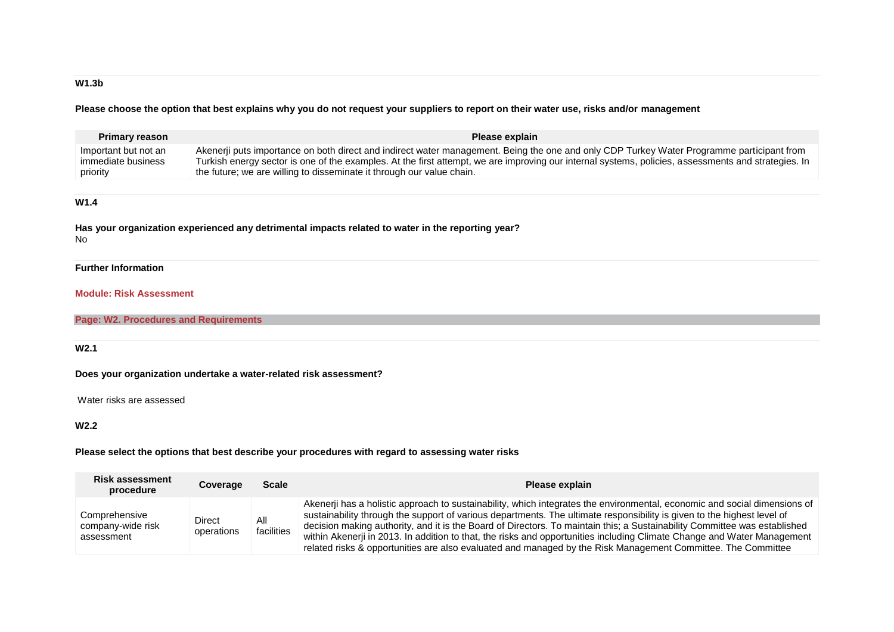# **W1.3b**

**Please choose the option that best explains why you do not request your suppliers to report on their water use, risks and/or management**

| <b>Primary reason</b>                                             |               |                                                                                                                                                                                                                                                                                                                                                                           | Please explain |  |  |
|-------------------------------------------------------------------|---------------|---------------------------------------------------------------------------------------------------------------------------------------------------------------------------------------------------------------------------------------------------------------------------------------------------------------------------------------------------------------------------|----------------|--|--|
| Important but not an<br>immediate business<br>priority            |               | Akenerji puts importance on both direct and indirect water management. Being the one and only CDP Turkey Water Programme participant from<br>Turkish energy sector is one of the examples. At the first attempt, we are improving our internal systems, policies, assessments and strategies. In<br>the future; we are willing to disseminate it through our value chain. |                |  |  |
|                                                                   |               |                                                                                                                                                                                                                                                                                                                                                                           |                |  |  |
| W1.4                                                              |               |                                                                                                                                                                                                                                                                                                                                                                           |                |  |  |
| No.                                                               |               | Has your organization experienced any detrimental impacts related to water in the reporting year?                                                                                                                                                                                                                                                                         |                |  |  |
| <b>Further Information</b>                                        |               |                                                                                                                                                                                                                                                                                                                                                                           |                |  |  |
| <b>Module: Risk Assessment</b>                                    |               |                                                                                                                                                                                                                                                                                                                                                                           |                |  |  |
| <b>Page: W2. Procedures and Requirements</b>                      |               |                                                                                                                                                                                                                                                                                                                                                                           |                |  |  |
|                                                                   |               |                                                                                                                                                                                                                                                                                                                                                                           |                |  |  |
| W2.1                                                              |               |                                                                                                                                                                                                                                                                                                                                                                           |                |  |  |
| Does your organization undertake a water-related risk assessment? |               |                                                                                                                                                                                                                                                                                                                                                                           |                |  |  |
| Water risks are assessed                                          |               |                                                                                                                                                                                                                                                                                                                                                                           |                |  |  |
| W2.2                                                              |               |                                                                                                                                                                                                                                                                                                                                                                           |                |  |  |
|                                                                   |               | Please select the options that best describe your procedures with regard to assessing water risks                                                                                                                                                                                                                                                                         |                |  |  |
| <b>Risk assessment</b>                                            | Cousses Casta |                                                                                                                                                                                                                                                                                                                                                                           | Dlagos avalain |  |  |

| INDR GOOGOONIGHT<br>procedure                    | Coverage             | Scale             | Please explain                                                                                                                                                                                                                                                                                                                                                                                                                                                                                                                                                                                                               |
|--------------------------------------------------|----------------------|-------------------|------------------------------------------------------------------------------------------------------------------------------------------------------------------------------------------------------------------------------------------------------------------------------------------------------------------------------------------------------------------------------------------------------------------------------------------------------------------------------------------------------------------------------------------------------------------------------------------------------------------------------|
| Comprehensive<br>company-wide risk<br>assessment | Direct<br>operations | All<br>facilities | Akenerji has a holistic approach to sustainability, which integrates the environmental, economic and social dimensions of<br>sustainability through the support of various departments. The ultimate responsibility is given to the highest level of<br>decision making authority, and it is the Board of Directors. To maintain this; a Sustainability Committee was established<br>within Akenerii in 2013. In addition to that, the risks and opportunities including Climate Change and Water Management<br>related risks & opportunities are also evaluated and managed by the Risk Management Committee. The Committee |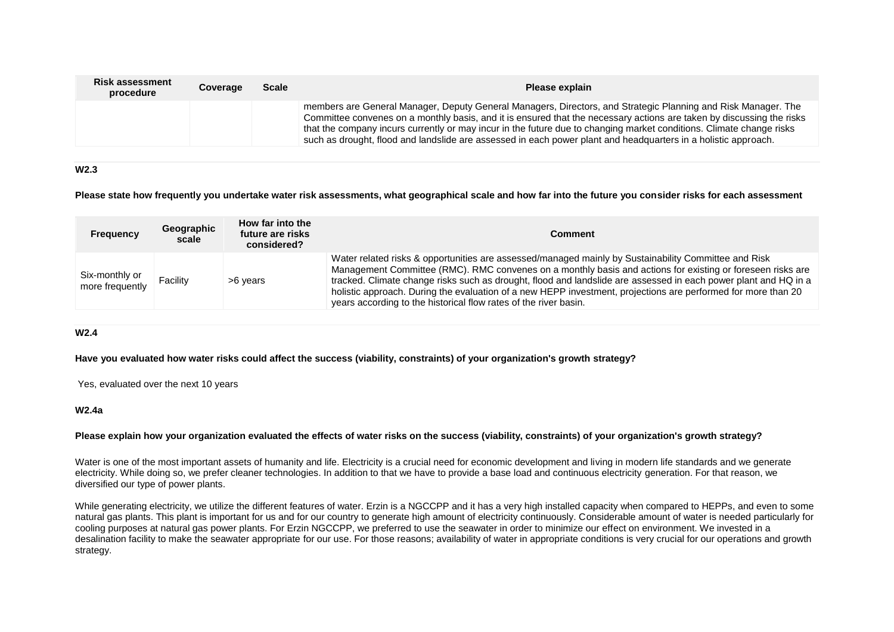| <b>Risk assessment</b><br>procedure | Coverage | <b>Scale</b> | Please explain                                                                                                                                                                                                                                                                                                                                                                                                                                                                   |
|-------------------------------------|----------|--------------|----------------------------------------------------------------------------------------------------------------------------------------------------------------------------------------------------------------------------------------------------------------------------------------------------------------------------------------------------------------------------------------------------------------------------------------------------------------------------------|
|                                     |          |              | members are General Manager, Deputy General Managers, Directors, and Strategic Planning and Risk Manager. The<br>Committee convenes on a monthly basis, and it is ensured that the necessary actions are taken by discussing the risks<br>that the company incurs currently or may incur in the future due to changing market conditions. Climate change risks<br>such as drought, flood and landslide are assessed in each power plant and headquarters in a holistic approach. |

### **W2.3**

### **Please state how frequently you undertake water risk assessments, what geographical scale and how far into the future you consider risks for each assessment**

| <b>Frequency</b>                  | Geographic<br>scale | How far into the<br>future are risks<br>considered? | <b>Comment</b>                                                                                                                                                                                                                                                                                                                                                                                                                                                                                                             |  |  |  |  |  |
|-----------------------------------|---------------------|-----------------------------------------------------|----------------------------------------------------------------------------------------------------------------------------------------------------------------------------------------------------------------------------------------------------------------------------------------------------------------------------------------------------------------------------------------------------------------------------------------------------------------------------------------------------------------------------|--|--|--|--|--|
| Six-monthly or<br>more frequently | Facility            | >6 vears                                            | Water related risks & opportunities are assessed/managed mainly by Sustainability Committee and Risk<br>Management Committee (RMC). RMC convenes on a monthly basis and actions for existing or foreseen risks are<br>tracked. Climate change risks such as drought, flood and landslide are assessed in each power plant and HQ in a<br>holistic approach. During the evaluation of a new HEPP investment, projections are performed for more than 20<br>years according to the historical flow rates of the river basin. |  |  |  |  |  |

### **W2.4**

### **Have you evaluated how water risks could affect the success (viability, constraints) of your organization's growth strategy?**

Yes, evaluated over the next 10 years

### **W2.4a**

### **Please explain how your organization evaluated the effects of water risks on the success (viability, constraints) of your organization's growth strategy?**

Water is one of the most important assets of humanity and life. Electricity is a crucial need for economic development and living in modern life standards and we generate electricity. While doing so, we prefer cleaner technologies. In addition to that we have to provide a base load and continuous electricity generation. For that reason, we diversified our type of power plants.

While generating electricity, we utilize the different features of water. Erzin is a NGCCPP and it has a very high installed capacity when compared to HEPPs, and even to some natural gas plants. This plant is important for us and for our country to generate high amount of electricity continuously. Considerable amount of water is needed particularly for cooling purposes at natural gas power plants. For Erzin NGCCPP, we preferred to use the seawater in order to minimize our effect on environment. We invested in a desalination facility to make the seawater appropriate for our use. For those reasons; availability of water in appropriate conditions is very crucial for our operations and growth strategy.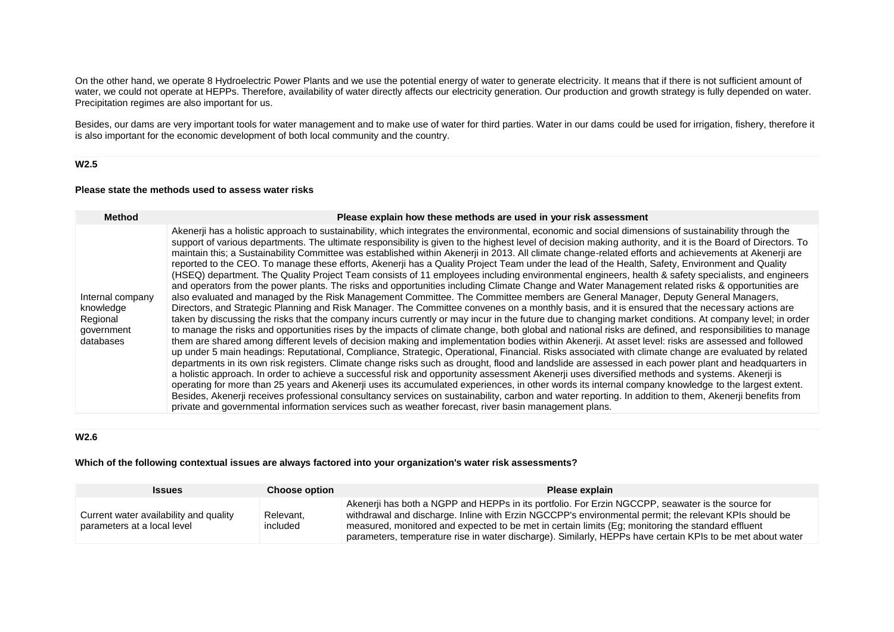On the other hand, we operate 8 Hydroelectric Power Plants and we use the potential energy of water to generate electricity. It means that if there is not sufficient amount of water, we could not operate at HEPPs. Therefore, availability of water directly affects our electricity generation. Our production and growth strategy is fully depended on water. Precipitation regimes are also important for us.

Besides, our dams are very important tools for water management and to make use of water for third parties. Water in our dams could be used for irrigation, fishery, therefore it is also important for the economic development of both local community and the country.

### **W2.5**

#### **Please state the methods used to assess water risks**

| <b>Method</b>                                                        | Please explain how these methods are used in your risk assessment                                                                                                                                                                                                                                                                                                                                                                                                                                                                                                                                                                                                                                                                                                                                                                                                                                                                                                                                                                                                                                                                                                                                                                                                                                                                                                                                                                                                                                                                                                                                                                                                                                                                                                                                                                                                                                                                                                                                                                                                                                                                                                                                                                                                                                                                                                                                                                                                                                                                                                                                                   |
|----------------------------------------------------------------------|---------------------------------------------------------------------------------------------------------------------------------------------------------------------------------------------------------------------------------------------------------------------------------------------------------------------------------------------------------------------------------------------------------------------------------------------------------------------------------------------------------------------------------------------------------------------------------------------------------------------------------------------------------------------------------------------------------------------------------------------------------------------------------------------------------------------------------------------------------------------------------------------------------------------------------------------------------------------------------------------------------------------------------------------------------------------------------------------------------------------------------------------------------------------------------------------------------------------------------------------------------------------------------------------------------------------------------------------------------------------------------------------------------------------------------------------------------------------------------------------------------------------------------------------------------------------------------------------------------------------------------------------------------------------------------------------------------------------------------------------------------------------------------------------------------------------------------------------------------------------------------------------------------------------------------------------------------------------------------------------------------------------------------------------------------------------------------------------------------------------------------------------------------------------------------------------------------------------------------------------------------------------------------------------------------------------------------------------------------------------------------------------------------------------------------------------------------------------------------------------------------------------------------------------------------------------------------------------------------------------|
| Internal company<br>knowledge<br>Regional<br>government<br>databases | Akenerji has a holistic approach to sustainability, which integrates the environmental, economic and social dimensions of sustainability through the<br>support of various departments. The ultimate responsibility is given to the highest level of decision making authority, and it is the Board of Directors. To<br>maintain this; a Sustainability Committee was established within Akenerji in 2013. All climate change-related efforts and achievements at Akenerji are<br>reported to the CEO. To manage these efforts, Akenerji has a Quality Project Team under the lead of the Health, Safety, Environment and Quality<br>(HSEQ) department. The Quality Project Team consists of 11 employees including environmental engineers, health & safety specialists, and engineers<br>and operators from the power plants. The risks and opportunities including Climate Change and Water Management related risks & opportunities are<br>also evaluated and managed by the Risk Management Committee. The Committee members are General Manager, Deputy General Managers,<br>Directors, and Strategic Planning and Risk Manager. The Committee convenes on a monthly basis, and it is ensured that the necessary actions are<br>taken by discussing the risks that the company incurs currently or may incur in the future due to changing market conditions. At company level; in order<br>to manage the risks and opportunities rises by the impacts of climate change, both global and national risks are defined, and responsibilities to manage<br>them are shared among different levels of decision making and implementation bodies within Akenerji. At asset level: risks are assessed and followed<br>up under 5 main headings: Reputational, Compliance, Strategic, Operational, Financial. Risks associated with climate change are evaluated by related<br>departments in its own risk registers. Climate change risks such as drought, flood and landslide are assessed in each power plant and headquarters in<br>a holistic approach. In order to achieve a successful risk and opportunity assessment Akenerji uses diversified methods and systems. Akenerji is<br>operating for more than 25 years and Akenerji uses its accumulated experiences, in other words its internal company knowledge to the largest extent.<br>Besides, Akenerji receives professional consultancy services on sustainability, carbon and water reporting. In addition to them, Akenerji benefits from<br>private and governmental information services such as weather forecast, river basin management plans. |

### **W2.6**

### **Which of the following contextual issues are always factored into your organization's water risk assessments?**

| <b>Issues</b>                                                         | <b>Choose option</b>  | Please explain                                                                                                                                                                                                                                                                                                                                                                                                                  |
|-----------------------------------------------------------------------|-----------------------|---------------------------------------------------------------------------------------------------------------------------------------------------------------------------------------------------------------------------------------------------------------------------------------------------------------------------------------------------------------------------------------------------------------------------------|
| Current water availability and quality<br>parameters at a local level | Relevant.<br>included | Akenerii has both a NGPP and HEPPs in its portfolio. For Erzin NGCCPP, seawater is the source for<br>withdrawal and discharge. Inline with Erzin NGCCPP's environmental permit; the relevant KPIs should be<br>measured, monitored and expected to be met in certain limits (Eg; monitoring the standard effluent<br>parameters, temperature rise in water discharge). Similarly, HEPPs have certain KPIs to be met about water |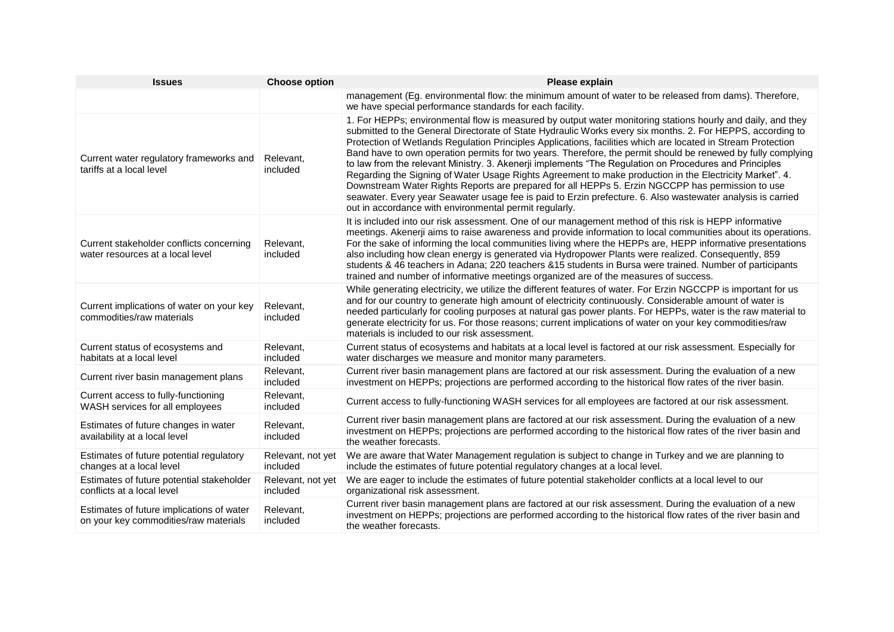| <b>Issues</b>                                                                      | <b>Choose option</b>          | Please explain                                                                                                                                                                                                                                                                                                                                                                                                                                                                                                                                                                                                                                                                                                                                                                                                                                                                                                                                              |
|------------------------------------------------------------------------------------|-------------------------------|-------------------------------------------------------------------------------------------------------------------------------------------------------------------------------------------------------------------------------------------------------------------------------------------------------------------------------------------------------------------------------------------------------------------------------------------------------------------------------------------------------------------------------------------------------------------------------------------------------------------------------------------------------------------------------------------------------------------------------------------------------------------------------------------------------------------------------------------------------------------------------------------------------------------------------------------------------------|
|                                                                                    |                               | management (Eg. environmental flow: the minimum amount of water to be released from dams). Therefore,<br>we have special performance standards for each facility.                                                                                                                                                                                                                                                                                                                                                                                                                                                                                                                                                                                                                                                                                                                                                                                           |
| Current water regulatory frameworks and<br>tariffs at a local level                | Relevant,<br>included         | 1. For HEPPs; environmental flow is measured by output water monitoring stations hourly and daily, and they<br>submitted to the General Directorate of State Hydraulic Works every six months. 2. For HEPPS, according to<br>Protection of Wetlands Regulation Principles Applications, facilities which are located in Stream Protection<br>Band have to own operation permits for two years. Therefore, the permit should be renewed by fully complying<br>to law from the relevant Ministry. 3. Akenerji implements "The Regulation on Procedures and Principles<br>Regarding the Signing of Water Usage Rights Agreement to make production in the Electricity Market". 4.<br>Downstream Water Rights Reports are prepared for all HEPPs 5. Erzin NGCCPP has permission to use<br>seawater. Every year Seawater usage fee is paid to Erzin prefecture. 6. Also wastewater analysis is carried<br>out in accordance with environmental permit regularly. |
| Current stakeholder conflicts concerning<br>water resources at a local level       | Relevant,<br>included         | It is included into our risk assessment. One of our management method of this risk is HEPP informative<br>meetings. Akenerji aims to raise awareness and provide information to local communities about its operations.<br>For the sake of informing the local communities living where the HEPPs are, HEPP informative presentations<br>also including how clean energy is generated via Hydropower Plants were realized. Consequently, 859<br>students & 46 teachers in Adana; 220 teachers & 15 students in Bursa were trained. Number of participants<br>trained and number of informative meetings organized are of the measures of success.                                                                                                                                                                                                                                                                                                           |
| Current implications of water on your key<br>commodities/raw materials             | Relevant,<br>included         | While generating electricity, we utilize the different features of water. For Erzin NGCCPP is important for us<br>and for our country to generate high amount of electricity continuously. Considerable amount of water is<br>needed particularly for cooling purposes at natural gas power plants. For HEPPs, water is the raw material to<br>generate electricity for us. For those reasons; current implications of water on your key commodities/raw<br>materials is included to our risk assessment.                                                                                                                                                                                                                                                                                                                                                                                                                                                   |
| Current status of ecosystems and<br>habitats at a local level                      | Relevant.<br>included         | Current status of ecosystems and habitats at a local level is factored at our risk assessment. Especially for<br>water discharges we measure and monitor many parameters.                                                                                                                                                                                                                                                                                                                                                                                                                                                                                                                                                                                                                                                                                                                                                                                   |
| Current river basin management plans                                               | Relevant,<br>included         | Current river basin management plans are factored at our risk assessment. During the evaluation of a new<br>investment on HEPPs; projections are performed according to the historical flow rates of the river basin.                                                                                                                                                                                                                                                                                                                                                                                                                                                                                                                                                                                                                                                                                                                                       |
| Current access to fully-functioning<br>WASH services for all employees             | Relevant,<br>included         | Current access to fully-functioning WASH services for all employees are factored at our risk assessment.                                                                                                                                                                                                                                                                                                                                                                                                                                                                                                                                                                                                                                                                                                                                                                                                                                                    |
| Estimates of future changes in water<br>availability at a local level              | Relevant,<br>included         | Current river basin management plans are factored at our risk assessment. During the evaluation of a new<br>investment on HEPPs; projections are performed according to the historical flow rates of the river basin and<br>the weather forecasts.                                                                                                                                                                                                                                                                                                                                                                                                                                                                                                                                                                                                                                                                                                          |
| Estimates of future potential regulatory<br>changes at a local level               | Relevant, not yet<br>included | We are aware that Water Management regulation is subject to change in Turkey and we are planning to<br>include the estimates of future potential regulatory changes at a local level.                                                                                                                                                                                                                                                                                                                                                                                                                                                                                                                                                                                                                                                                                                                                                                       |
| Estimates of future potential stakeholder<br>conflicts at a local level            | Relevant, not yet<br>included | We are eager to include the estimates of future potential stakeholder conflicts at a local level to our<br>organizational risk assessment.                                                                                                                                                                                                                                                                                                                                                                                                                                                                                                                                                                                                                                                                                                                                                                                                                  |
| Estimates of future implications of water<br>on your key commodities/raw materials | Relevant,<br>included         | Current river basin management plans are factored at our risk assessment. During the evaluation of a new<br>investment on HEPPs; projections are performed according to the historical flow rates of the river basin and<br>the weather forecasts.                                                                                                                                                                                                                                                                                                                                                                                                                                                                                                                                                                                                                                                                                                          |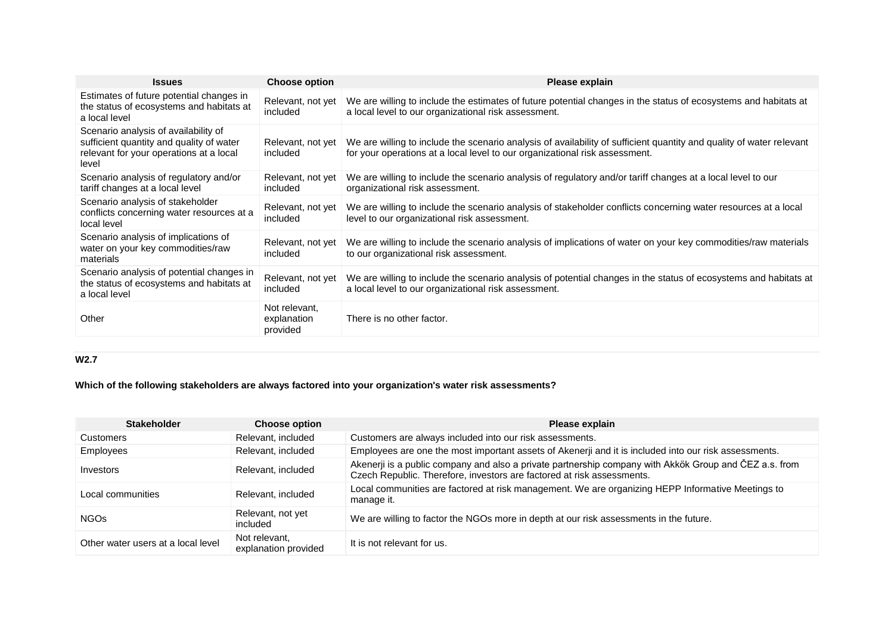| <b>Issues</b>                                                                                                                        | <b>Choose option</b>                     | Please explain                                                                                                                                                                                      |
|--------------------------------------------------------------------------------------------------------------------------------------|------------------------------------------|-----------------------------------------------------------------------------------------------------------------------------------------------------------------------------------------------------|
| Estimates of future potential changes in<br>the status of ecosystems and habitats at<br>a local level                                | Relevant, not yet<br>included            | We are willing to include the estimates of future potential changes in the status of ecosystems and habitats at<br>a local level to our organizational risk assessment.                             |
| Scenario analysis of availability of<br>sufficient quantity and quality of water<br>relevant for your operations at a local<br>level | Relevant, not yet<br>included            | We are willing to include the scenario analysis of availability of sufficient quantity and quality of water relevant<br>for your operations at a local level to our organizational risk assessment. |
| Scenario analysis of regulatory and/or<br>tariff changes at a local level                                                            | Relevant, not yet<br>included            | We are willing to include the scenario analysis of regulatory and/or tariff changes at a local level to our<br>organizational risk assessment.                                                      |
| Scenario analysis of stakeholder<br>conflicts concerning water resources at a<br>local level                                         | Relevant, not yet<br>included            | We are willing to include the scenario analysis of stakeholder conflicts concerning water resources at a local<br>level to our organizational risk assessment.                                      |
| Scenario analysis of implications of<br>water on your key commodities/raw<br>materials                                               | Relevant, not yet<br>included            | We are willing to include the scenario analysis of implications of water on your key commodities/raw materials<br>to our organizational risk assessment.                                            |
| Scenario analysis of potential changes in<br>the status of ecosystems and habitats at<br>a local level                               | Relevant, not yet<br>included            | We are willing to include the scenario analysis of potential changes in the status of ecosystems and habitats at<br>a local level to our organizational risk assessment.                            |
| Other                                                                                                                                | Not relevant.<br>explanation<br>provided | There is no other factor.                                                                                                                                                                           |

# **W2.7**

# **Which of the following stakeholders are always factored into your organization's water risk assessments?**

| <b>Stakeholder</b>                 | <b>Choose option</b>                  | Please explain                                                                                                                                                                   |
|------------------------------------|---------------------------------------|----------------------------------------------------------------------------------------------------------------------------------------------------------------------------------|
| Customers                          | Relevant, included                    | Customers are always included into our risk assessments.                                                                                                                         |
| Employees                          | Relevant, included                    | Employees are one the most important assets of Akenerji and it is included into our risk assessments.                                                                            |
| Investors                          | Relevant, included                    | Akenerji is a public company and also a private partnership company with Akkök Group and ČEZ a.s. from<br>Czech Republic. Therefore, investors are factored at risk assessments. |
| Local communities                  | Relevant, included                    | Local communities are factored at risk management. We are organizing HEPP Informative Meetings to<br>manage it.                                                                  |
| NGO <sub>S</sub>                   | Relevant, not yet<br>included         | We are willing to factor the NGOs more in depth at our risk assessments in the future.                                                                                           |
| Other water users at a local level | Not relevant,<br>explanation provided | It is not relevant for us.                                                                                                                                                       |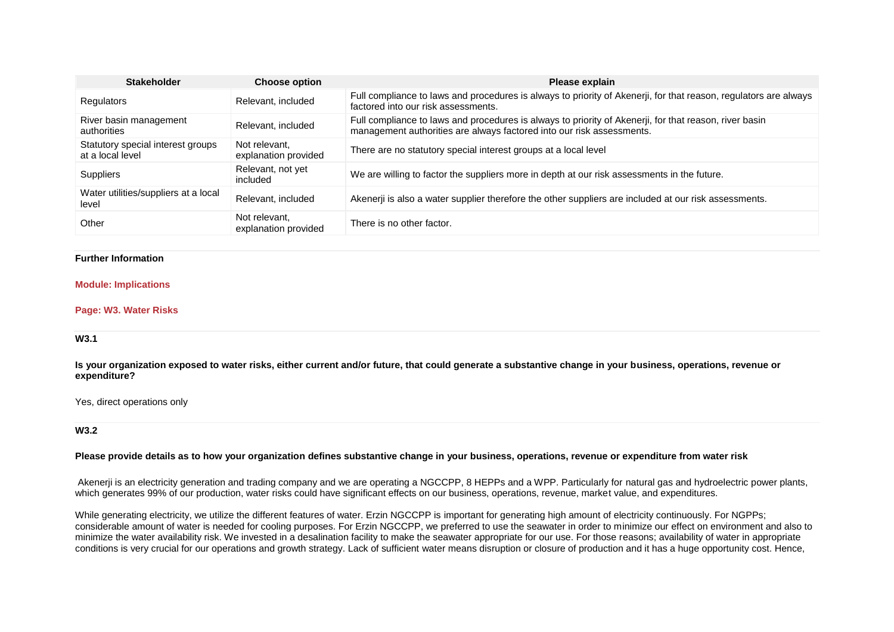| <b>Stakeholder</b>                                    | <b>Choose option</b>                  | Please explain                                                                                                                                                                  |
|-------------------------------------------------------|---------------------------------------|---------------------------------------------------------------------------------------------------------------------------------------------------------------------------------|
| Regulators                                            | Relevant, included                    | Full compliance to laws and procedures is always to priority of Akenerji, for that reason, regulators are always<br>factored into our risk assessments.                         |
| River basin management<br>authorities                 | Relevant, included                    | Full compliance to laws and procedures is always to priority of Akenerji, for that reason, river basin<br>management authorities are always factored into our risk assessments. |
| Statutory special interest groups<br>at a local level | Not relevant.<br>explanation provided | There are no statutory special interest groups at a local level                                                                                                                 |
| <b>Suppliers</b>                                      | Relevant, not yet<br>included         | We are willing to factor the suppliers more in depth at our risk assessments in the future.                                                                                     |
| Water utilities/suppliers at a local<br>level         | Relevant, included                    | Akenerji is also a water supplier therefore the other suppliers are included at our risk assessments.                                                                           |
| Other                                                 | Not relevant.<br>explanation provided | There is no other factor.                                                                                                                                                       |

### **Further Information**

#### **Module: Implications**

#### **Page: W3. Water Risks**

#### **W3.1**

**Is your organization exposed to water risks, either current and/or future, that could generate a substantive change in your business, operations, revenue or expenditure?**

Yes, direct operations only

### **W3.2**

#### **Please provide details as to how your organization defines substantive change in your business, operations, revenue or expenditure from water risk**

Akenerji is an electricity generation and trading company and we are operating a NGCCPP, 8 HEPPs and a WPP. Particularly for natural gas and hydroelectric power plants, which generates 99% of our production, water risks could have significant effects on our business, operations, revenue, market value, and expenditures.

While generating electricity, we utilize the different features of water. Erzin NGCCPP is important for generating high amount of electricity continuously. For NGPPs; considerable amount of water is needed for cooling purposes. For Erzin NGCCPP, we preferred to use the seawater in order to minimize our effect on environment and also to minimize the water availability risk. We invested in a desalination facility to make the seawater appropriate for our use. For those reasons; availability of water in appropriate conditions is very crucial for our operations and growth strategy. Lack of sufficient water means disruption or closure of production and it has a huge opportunity cost. Hence,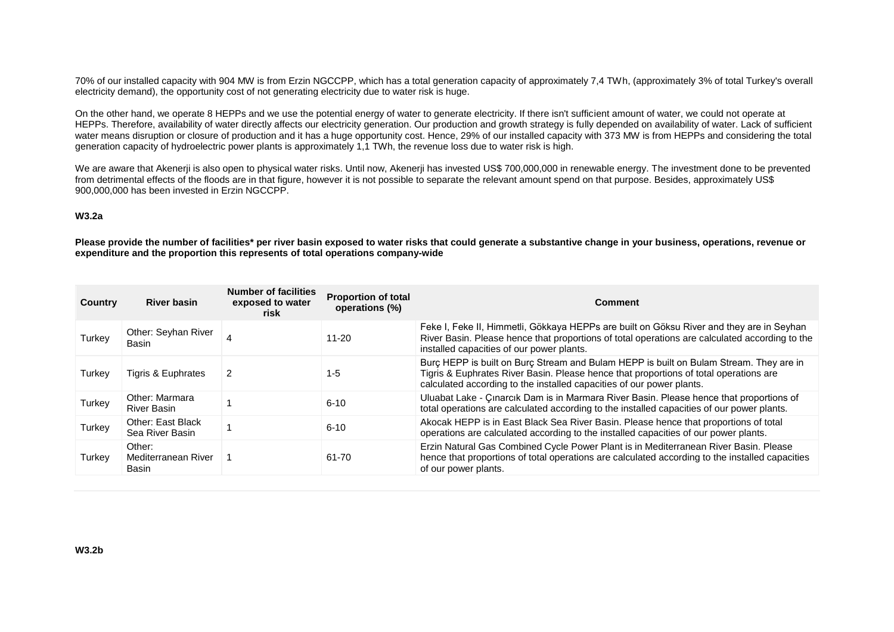70% of our installed capacity with 904 MW is from Erzin NGCCPP, which has a total generation capacity of approximately 7,4 TWh, (approximately 3% of total Turkey's overall electricity demand), the opportunity cost of not generating electricity due to water risk is huge.

On the other hand, we operate 8 HEPPs and we use the potential energy of water to generate electricity. If there isn't sufficient amount of water, we could not operate at HEPPs. Therefore, availability of water directly affects our electricity generation. Our production and growth strategy is fully depended on availability of water. Lack of sufficient water means disruption or closure of production and it has a huge opportunity cost. Hence, 29% of our installed capacity with 373 MW is from HEPPs and considering the total generation capacity of hydroelectric power plants is approximately 1,1 TWh, the revenue loss due to water risk is high.

We are aware that Akenerji is also open to physical water risks. Until now, Akenerji has invested US\$ 700,000,000 in renewable energy. The investment done to be prevented from detrimental effects of the floods are in that figure, however it is not possible to separate the relevant amount spend on that purpose. Besides, approximately US\$ 900,000,000 has been invested in Erzin NGCCPP.

### **W3.2a**

**Please provide the number of facilities\* per river basin exposed to water risks that could generate a substantive change in your business, operations, revenue or expenditure and the proportion this represents of total operations company-wide**

| Country | <b>River basin</b>                     | <b>Number of facilities</b><br>exposed to water<br>risk | <b>Proportion of total</b><br>operations (%) | Comment                                                                                                                                                                                                                                                  |
|---------|----------------------------------------|---------------------------------------------------------|----------------------------------------------|----------------------------------------------------------------------------------------------------------------------------------------------------------------------------------------------------------------------------------------------------------|
| Turkey  | Other: Seyhan River<br>Basin           |                                                         | $11 - 20$                                    | Feke I, Feke II, Himmetli, Gökkaya HEPPs are built on Göksu River and they are in Seyhan<br>River Basin. Please hence that proportions of total operations are calculated according to the<br>installed capacities of our power plants.                  |
| Turkey  | Tigris & Euphrates                     | 2                                                       | 1-5                                          | Burc HEPP is built on Burc Stream and Bulam HEPP is built on Bulam Stream. They are in<br>Tigris & Euphrates River Basin. Please hence that proportions of total operations are<br>calculated according to the installed capacities of our power plants. |
| Turkey  | Other: Marmara<br><b>River Basin</b>   |                                                         | $6 - 10$                                     | Uluabat Lake - Çinarcik Dam is in Marmara River Basin. Please hence that proportions of<br>total operations are calculated according to the installed capacities of our power plants.                                                                    |
| Turkey  | Other: East Black<br>Sea River Basin   |                                                         | $6 - 10$                                     | Akocak HEPP is in East Black Sea River Basin. Please hence that proportions of total<br>operations are calculated according to the installed capacities of our power plants.                                                                             |
| Turkey  | Other:<br>Mediterranean River<br>Basin |                                                         | 61-70                                        | Erzin Natural Gas Combined Cycle Power Plant is in Mediterranean River Basin. Please<br>hence that proportions of total operations are calculated according to the installed capacities<br>of our power plants.                                          |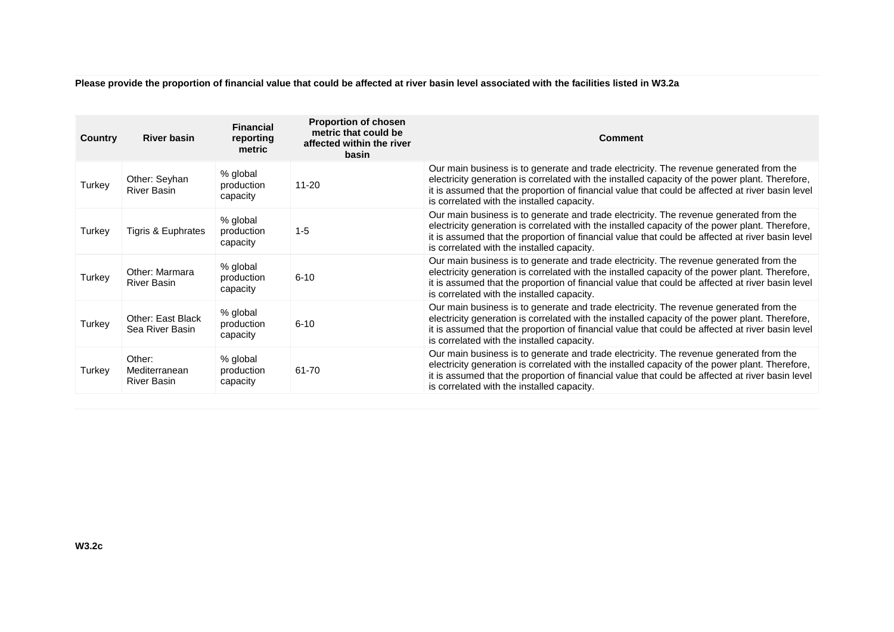**Please provide the proportion of financial value that could be affected at river basin level associated with the facilities listed in W3.2a**

| Country | <b>River basin</b>                            | <b>Financial</b><br>reporting<br>metric | <b>Proportion of chosen</b><br>metric that could be<br>affected within the river<br>basin | Comment                                                                                                                                                                                                                                                                                                                                     |
|---------|-----------------------------------------------|-----------------------------------------|-------------------------------------------------------------------------------------------|---------------------------------------------------------------------------------------------------------------------------------------------------------------------------------------------------------------------------------------------------------------------------------------------------------------------------------------------|
| Turkey  | Other: Seyhan<br><b>River Basin</b>           | % global<br>production<br>capacity      | $11 - 20$                                                                                 | Our main business is to generate and trade electricity. The revenue generated from the<br>electricity generation is correlated with the installed capacity of the power plant. Therefore,<br>it is assumed that the proportion of financial value that could be affected at river basin level<br>is correlated with the installed capacity. |
| Turkey  | Tigris & Euphrates                            | % global<br>production<br>capacity      | $1 - 5$                                                                                   | Our main business is to generate and trade electricity. The revenue generated from the<br>electricity generation is correlated with the installed capacity of the power plant. Therefore,<br>it is assumed that the proportion of financial value that could be affected at river basin level<br>is correlated with the installed capacity. |
| Turkey  | Other: Marmara<br><b>River Basin</b>          | % global<br>production<br>capacity      | $6 - 10$                                                                                  | Our main business is to generate and trade electricity. The revenue generated from the<br>electricity generation is correlated with the installed capacity of the power plant. Therefore,<br>it is assumed that the proportion of financial value that could be affected at river basin level<br>is correlated with the installed capacity. |
| Turkey  | <b>Other: East Black</b><br>Sea River Basin   | % global<br>production<br>capacity      | $6 - 10$                                                                                  | Our main business is to generate and trade electricity. The revenue generated from the<br>electricity generation is correlated with the installed capacity of the power plant. Therefore,<br>it is assumed that the proportion of financial value that could be affected at river basin level<br>is correlated with the installed capacity. |
| Turkey  | Other:<br>Mediterranean<br><b>River Basin</b> | % global<br>production<br>capacity      | 61-70                                                                                     | Our main business is to generate and trade electricity. The revenue generated from the<br>electricity generation is correlated with the installed capacity of the power plant. Therefore,<br>it is assumed that the proportion of financial value that could be affected at river basin level<br>is correlated with the installed capacity. |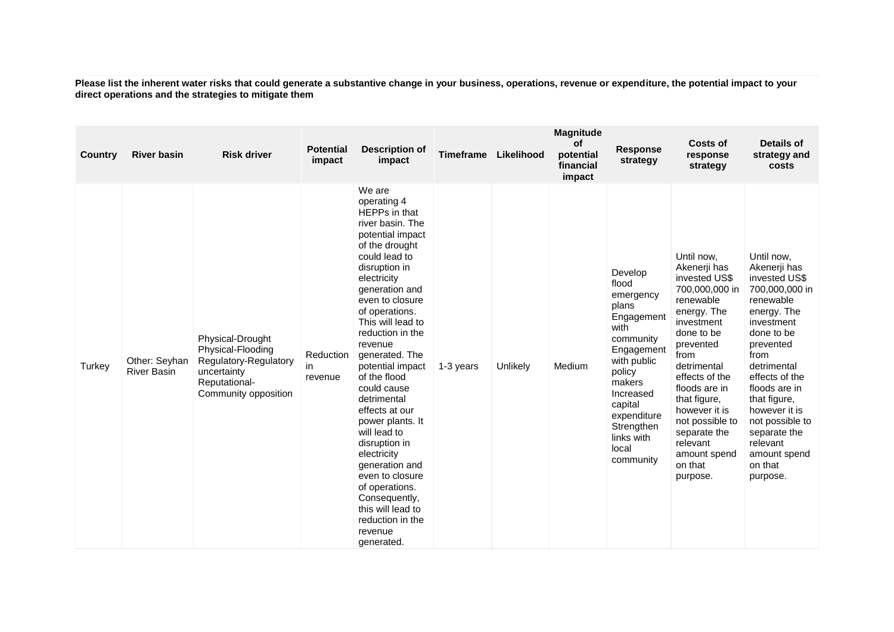**Please list the inherent water risks that could generate a substantive change in your business, operations, revenue or expenditure, the potential impact to your direct operations and the strategies to mitigate them**

| <b>Country</b> | <b>River basin</b>                  | <b>Risk driver</b>                                                                                                     | <b>Potential</b><br>impact | <b>Description of</b><br>impact                                                                                                                                                                                                                                                                                                                                                                                                                                                                                                                                                  | <b>Timeframe</b> | Likelihood | <b>Magnitude</b><br>οf<br>potential<br>financial<br>impact | <b>Response</b><br>strategy                                                                                                                                                                                         | Costs of<br>response<br>strategy                                                                                                                                                                                                                                                                                    | Details of<br>strategy and<br>costs                                                                                                                                                                                                                                                                                 |
|----------------|-------------------------------------|------------------------------------------------------------------------------------------------------------------------|----------------------------|----------------------------------------------------------------------------------------------------------------------------------------------------------------------------------------------------------------------------------------------------------------------------------------------------------------------------------------------------------------------------------------------------------------------------------------------------------------------------------------------------------------------------------------------------------------------------------|------------------|------------|------------------------------------------------------------|---------------------------------------------------------------------------------------------------------------------------------------------------------------------------------------------------------------------|---------------------------------------------------------------------------------------------------------------------------------------------------------------------------------------------------------------------------------------------------------------------------------------------------------------------|---------------------------------------------------------------------------------------------------------------------------------------------------------------------------------------------------------------------------------------------------------------------------------------------------------------------|
| Turkey         | Other: Seyhan<br><b>River Basin</b> | Physical-Drought<br>Physical-Flooding<br>Regulatory-Regulatory<br>uncertainty<br>Reputational-<br>Community opposition | Reduction<br>in<br>revenue | We are<br>operating 4<br>HEPPs in that<br>river basin. The<br>potential impact<br>of the drought<br>could lead to<br>disruption in<br>electricity<br>generation and<br>even to closure<br>of operations.<br>This will lead to<br>reduction in the<br>revenue<br>generated. The<br>potential impact<br>of the flood<br>could cause<br>detrimental<br>effects at our<br>power plants. It<br>will lead to<br>disruption in<br>electricity<br>generation and<br>even to closure<br>of operations.<br>Consequently,<br>this will lead to<br>reduction in the<br>revenue<br>generated. | 1-3 years        | Unlikely   | Medium                                                     | Develop<br>flood<br>emergency<br>plans<br>Engagement<br>with<br>community<br>Engagement<br>with public<br>policy<br>makers<br>Increased<br>capital<br>expenditure<br>Strengthen<br>links with<br>local<br>community | Until now,<br>Akenerji has<br>invested US\$<br>700,000,000 in<br>renewable<br>energy. The<br>investment<br>done to be<br>prevented<br>from<br>detrimental<br>effects of the<br>floods are in<br>that figure,<br>however it is<br>not possible to<br>separate the<br>relevant<br>amount spend<br>on that<br>purpose. | Until now,<br>Akenerji has<br>invested US\$<br>700,000,000 in<br>renewable<br>energy. The<br>investment<br>done to be<br>prevented<br>from<br>detrimental<br>effects of the<br>floods are in<br>that figure,<br>however it is<br>not possible to<br>separate the<br>relevant<br>amount spend<br>on that<br>purpose. |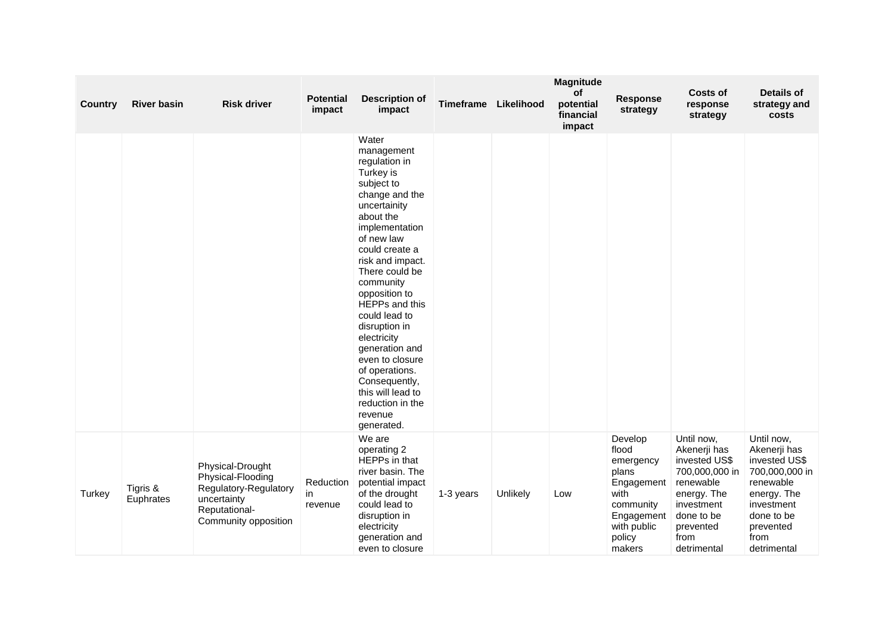| <b>Country</b> | <b>River basin</b>    | <b>Risk driver</b>                                                                                                     | <b>Potential</b><br>impact | <b>Description of</b><br>impact                                                                                                                                                                                                                                                                                                                                                                                                                   | Timeframe | Likelihood | Magnitude<br>of<br>potential<br>financial<br>impact | Response<br>strategy                                                                                                       | Costs of<br>response<br>strategy                                                                                                                          | <b>Details of</b><br>strategy and<br>costs                                                                                                                |
|----------------|-----------------------|------------------------------------------------------------------------------------------------------------------------|----------------------------|---------------------------------------------------------------------------------------------------------------------------------------------------------------------------------------------------------------------------------------------------------------------------------------------------------------------------------------------------------------------------------------------------------------------------------------------------|-----------|------------|-----------------------------------------------------|----------------------------------------------------------------------------------------------------------------------------|-----------------------------------------------------------------------------------------------------------------------------------------------------------|-----------------------------------------------------------------------------------------------------------------------------------------------------------|
|                |                       |                                                                                                                        |                            | Water<br>management<br>regulation in<br>Turkey is<br>subject to<br>change and the<br>uncertainity<br>about the<br>implementation<br>of new law<br>could create a<br>risk and impact.<br>There could be<br>community<br>opposition to<br>HEPPs and this<br>could lead to<br>disruption in<br>electricity<br>generation and<br>even to closure<br>of operations.<br>Consequently,<br>this will lead to<br>reduction in the<br>revenue<br>generated. |           |            |                                                     |                                                                                                                            |                                                                                                                                                           |                                                                                                                                                           |
| Turkey         | Tigris &<br>Euphrates | Physical-Drought<br>Physical-Flooding<br>Regulatory-Regulatory<br>uncertainty<br>Reputational-<br>Community opposition | Reduction<br>in<br>revenue | We are<br>operating 2<br>HEPPs in that<br>river basin. The<br>potential impact<br>of the drought<br>could lead to<br>disruption in<br>electricity<br>generation and<br>even to closure                                                                                                                                                                                                                                                            | 1-3 years | Unlikely   | Low                                                 | Develop<br>flood<br>emergency<br>plans<br>Engagement<br>with<br>community<br>Engagement<br>with public<br>policy<br>makers | Until now,<br>Akenerji has<br>invested US\$<br>700,000,000 in<br>renewable<br>energy. The<br>investment<br>done to be<br>prevented<br>from<br>detrimental | Until now,<br>Akenerji has<br>invested US\$<br>700,000,000 in<br>renewable<br>energy. The<br>investment<br>done to be<br>prevented<br>from<br>detrimental |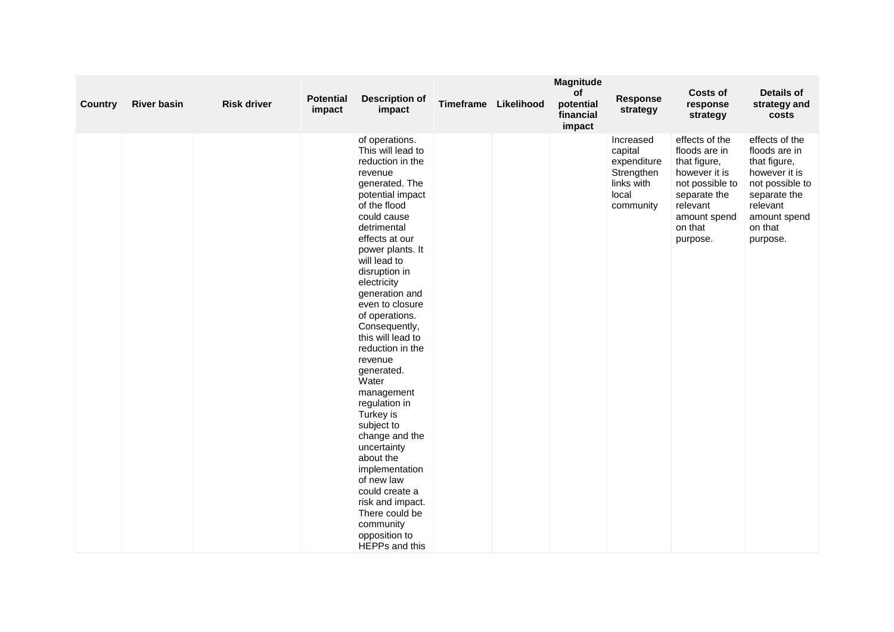| <b>Country</b> | <b>River basin</b> | <b>Risk driver</b> | <b>Potential</b><br>impact | <b>Description of</b><br>impact                                                                                                                                                                                                                                                                                                                                                                                                                                                                                                                                                                                                                 | Timeframe Likelihood | Magnitude<br>of<br>potential<br>financial<br>impact | <b>Response</b><br>strategy                                                           | <b>Costs of</b><br>response<br>strategy                                                                                                                | <b>Details of</b><br>strategy and<br>costs                                                                                                             |
|----------------|--------------------|--------------------|----------------------------|-------------------------------------------------------------------------------------------------------------------------------------------------------------------------------------------------------------------------------------------------------------------------------------------------------------------------------------------------------------------------------------------------------------------------------------------------------------------------------------------------------------------------------------------------------------------------------------------------------------------------------------------------|----------------------|-----------------------------------------------------|---------------------------------------------------------------------------------------|--------------------------------------------------------------------------------------------------------------------------------------------------------|--------------------------------------------------------------------------------------------------------------------------------------------------------|
|                |                    |                    |                            | of operations.<br>This will lead to<br>reduction in the<br>revenue<br>generated. The<br>potential impact<br>of the flood<br>could cause<br>detrimental<br>effects at our<br>power plants. It<br>will lead to<br>disruption in<br>electricity<br>generation and<br>even to closure<br>of operations.<br>Consequently,<br>this will lead to<br>reduction in the<br>revenue<br>generated.<br>Water<br>management<br>regulation in<br>Turkey is<br>subject to<br>change and the<br>uncertainty<br>about the<br>implementation<br>of new law<br>could create a<br>risk and impact.<br>There could be<br>community<br>opposition to<br>HEPPs and this |                      |                                                     | Increased<br>capital<br>expenditure<br>Strengthen<br>links with<br>local<br>community | effects of the<br>floods are in<br>that figure,<br>however it is<br>not possible to<br>separate the<br>relevant<br>amount spend<br>on that<br>purpose. | effects of the<br>floods are in<br>that figure,<br>however it is<br>not possible to<br>separate the<br>relevant<br>amount spend<br>on that<br>purpose. |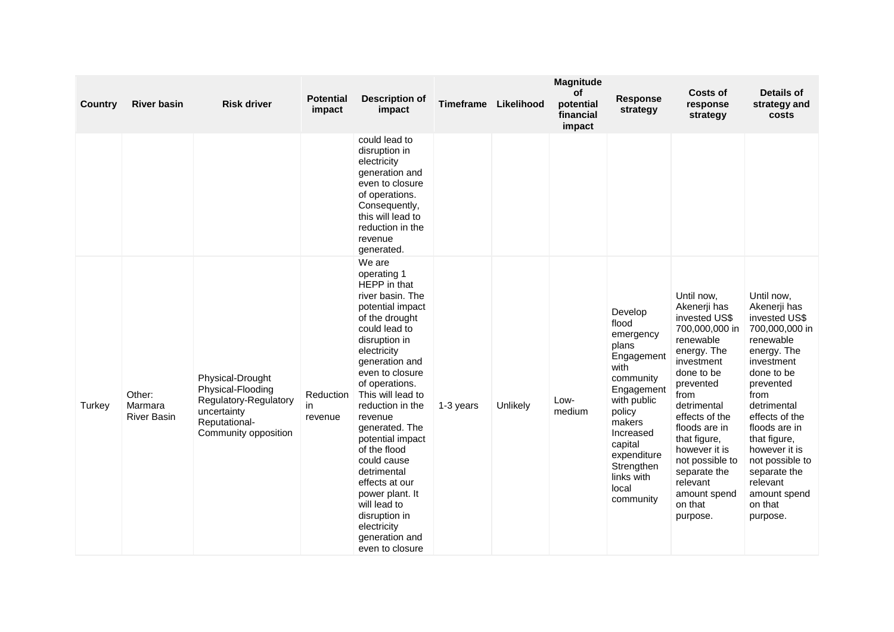| Country | <b>River basin</b>                      | <b>Risk driver</b>                                                                                                     | <b>Potential</b><br>impact | <b>Description of</b><br>impact                                                                                                                                                                                                                                                                                                                                                                                                                                           | Timeframe | Likelihood | <b>Magnitude</b><br>of<br>potential<br>financial<br>impact | <b>Response</b><br>strategy                                                                                                                                                                                         | Costs of<br>response<br>strategy                                                                                                                                                                                                                                                                                    | Details of<br>strategy and<br>costs                                                                                                                                                                                                                                                                                 |
|---------|-----------------------------------------|------------------------------------------------------------------------------------------------------------------------|----------------------------|---------------------------------------------------------------------------------------------------------------------------------------------------------------------------------------------------------------------------------------------------------------------------------------------------------------------------------------------------------------------------------------------------------------------------------------------------------------------------|-----------|------------|------------------------------------------------------------|---------------------------------------------------------------------------------------------------------------------------------------------------------------------------------------------------------------------|---------------------------------------------------------------------------------------------------------------------------------------------------------------------------------------------------------------------------------------------------------------------------------------------------------------------|---------------------------------------------------------------------------------------------------------------------------------------------------------------------------------------------------------------------------------------------------------------------------------------------------------------------|
|         |                                         |                                                                                                                        |                            | could lead to<br>disruption in<br>electricity<br>generation and<br>even to closure<br>of operations.<br>Consequently,<br>this will lead to<br>reduction in the<br>revenue<br>generated.                                                                                                                                                                                                                                                                                   |           |            |                                                            |                                                                                                                                                                                                                     |                                                                                                                                                                                                                                                                                                                     |                                                                                                                                                                                                                                                                                                                     |
| Turkey  | Other:<br>Marmara<br><b>River Basin</b> | Physical-Drought<br>Physical-Flooding<br>Regulatory-Regulatory<br>uncertainty<br>Reputational-<br>Community opposition | Reduction<br>in<br>revenue | We are<br>operating 1<br>HEPP in that<br>river basin. The<br>potential impact<br>of the drought<br>could lead to<br>disruption in<br>electricity<br>generation and<br>even to closure<br>of operations.<br>This will lead to<br>reduction in the<br>revenue<br>generated. The<br>potential impact<br>of the flood<br>could cause<br>detrimental<br>effects at our<br>power plant. It<br>will lead to<br>disruption in<br>electricity<br>generation and<br>even to closure | 1-3 years | Unlikely   | Low-<br>medium                                             | Develop<br>flood<br>emergency<br>plans<br>Engagement<br>with<br>community<br>Engagement<br>with public<br>policy<br>makers<br>Increased<br>capital<br>expenditure<br>Strengthen<br>links with<br>local<br>community | Until now,<br>Akenerji has<br>invested US\$<br>700,000,000 in<br>renewable<br>energy. The<br>investment<br>done to be<br>prevented<br>from<br>detrimental<br>effects of the<br>floods are in<br>that figure,<br>however it is<br>not possible to<br>separate the<br>relevant<br>amount spend<br>on that<br>purpose. | Until now,<br>Akenerji has<br>invested US\$<br>700,000,000 in<br>renewable<br>energy. The<br>investment<br>done to be<br>prevented<br>from<br>detrimental<br>effects of the<br>floods are in<br>that figure,<br>however it is<br>not possible to<br>separate the<br>relevant<br>amount spend<br>on that<br>purpose. |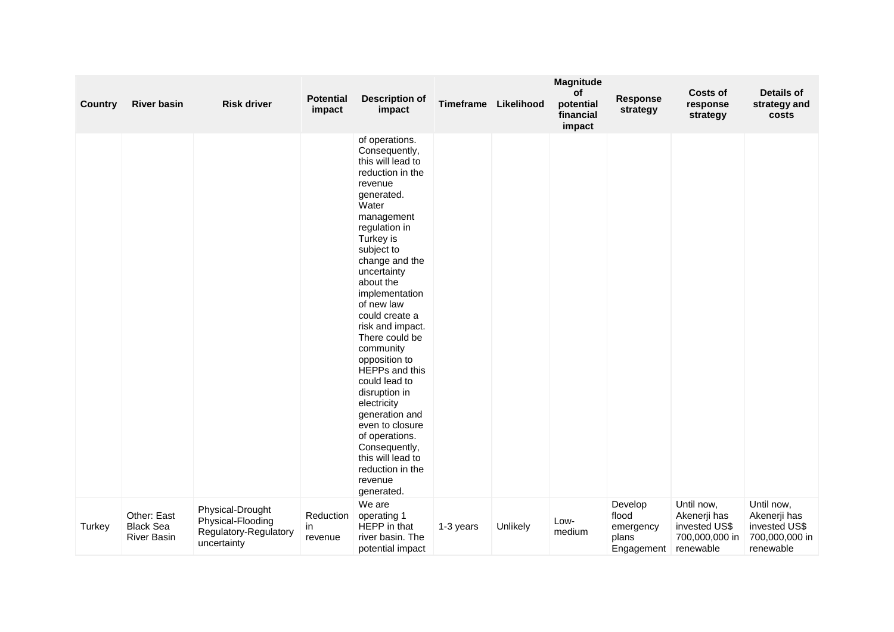| <b>Country</b> | <b>River basin</b>                                    | <b>Risk driver</b>                                                            | <b>Potential</b><br>impact | <b>Description of</b><br>impact                                                                                                                                                                                                                                                                                                                                                                                                                                                                                                                       | Timeframe | Likelihood | Magnitude<br><b>of</b><br>potential<br>financial<br>impact | <b>Response</b><br>strategy                          | <b>Costs of</b><br>response<br>strategy                      | <b>Details of</b><br>strategy and<br>costs                   |
|----------------|-------------------------------------------------------|-------------------------------------------------------------------------------|----------------------------|-------------------------------------------------------------------------------------------------------------------------------------------------------------------------------------------------------------------------------------------------------------------------------------------------------------------------------------------------------------------------------------------------------------------------------------------------------------------------------------------------------------------------------------------------------|-----------|------------|------------------------------------------------------------|------------------------------------------------------|--------------------------------------------------------------|--------------------------------------------------------------|
|                |                                                       |                                                                               |                            | of operations.<br>Consequently,<br>this will lead to<br>reduction in the<br>revenue<br>generated.<br>Water<br>management<br>regulation in<br>Turkey is<br>subject to<br>change and the<br>uncertainty<br>about the<br>implementation<br>of new law<br>could create a<br>risk and impact.<br>There could be<br>community<br>opposition to<br>HEPPs and this<br>could lead to<br>disruption in<br>electricity<br>generation and<br>even to closure<br>of operations.<br>Consequently,<br>this will lead to<br>reduction in the<br>revenue<br>generated. |           |            |                                                            |                                                      | Until now,                                                   | Until now,                                                   |
| Turkey         | Other: East<br><b>Black Sea</b><br><b>River Basin</b> | Physical-Drought<br>Physical-Flooding<br>Regulatory-Regulatory<br>uncertainty | Reduction<br>in<br>revenue | We are<br>operating 1<br>HEPP in that<br>river basin. The<br>potential impact                                                                                                                                                                                                                                                                                                                                                                                                                                                                         | 1-3 years | Unlikely   | Low-<br>medium                                             | Develop<br>flood<br>emergency<br>plans<br>Engagement | Akenerji has<br>invested US\$<br>700,000,000 in<br>renewable | Akenerji has<br>invested US\$<br>700,000,000 in<br>renewable |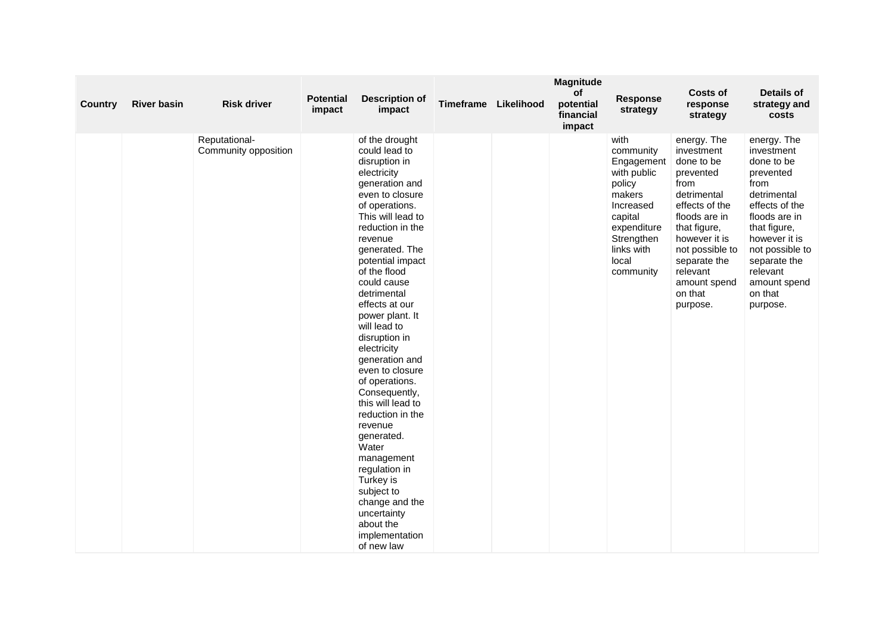| Country | <b>River basin</b> | <b>Risk driver</b>                    | <b>Potential</b><br>impact | <b>Description of</b><br>impact                                                                                                                                                                                                                                                                                                                                                                                                                                                                                                                                                                                                                | Timeframe | Likelihood | Magnitude<br>of<br>potential<br>financial<br>impact | <b>Response</b><br>strategy                                                                                                                                 | <b>Costs of</b><br>response<br>strategy                                                                                                                                                                                               | <b>Details of</b><br>strategy and<br>costs                                                                                                                                                                                            |
|---------|--------------------|---------------------------------------|----------------------------|------------------------------------------------------------------------------------------------------------------------------------------------------------------------------------------------------------------------------------------------------------------------------------------------------------------------------------------------------------------------------------------------------------------------------------------------------------------------------------------------------------------------------------------------------------------------------------------------------------------------------------------------|-----------|------------|-----------------------------------------------------|-------------------------------------------------------------------------------------------------------------------------------------------------------------|---------------------------------------------------------------------------------------------------------------------------------------------------------------------------------------------------------------------------------------|---------------------------------------------------------------------------------------------------------------------------------------------------------------------------------------------------------------------------------------|
|         |                    | Reputational-<br>Community opposition |                            | of the drought<br>could lead to<br>disruption in<br>electricity<br>generation and<br>even to closure<br>of operations.<br>This will lead to<br>reduction in the<br>revenue<br>generated. The<br>potential impact<br>of the flood<br>could cause<br>detrimental<br>effects at our<br>power plant. It<br>will lead to<br>disruption in<br>electricity<br>generation and<br>even to closure<br>of operations.<br>Consequently,<br>this will lead to<br>reduction in the<br>revenue<br>generated.<br>Water<br>management<br>regulation in<br>Turkey is<br>subject to<br>change and the<br>uncertainty<br>about the<br>implementation<br>of new law |           |            |                                                     | with<br>community<br>Engagement<br>with public<br>policy<br>makers<br>Increased<br>capital<br>expenditure<br>Strengthen<br>links with<br>local<br>community | energy. The<br>investment<br>done to be<br>prevented<br>from<br>detrimental<br>effects of the<br>floods are in<br>that figure,<br>however it is<br>not possible to<br>separate the<br>relevant<br>amount spend<br>on that<br>purpose. | energy. The<br>investment<br>done to be<br>prevented<br>from<br>detrimental<br>effects of the<br>floods are in<br>that figure,<br>however it is<br>not possible to<br>separate the<br>relevant<br>amount spend<br>on that<br>purpose. |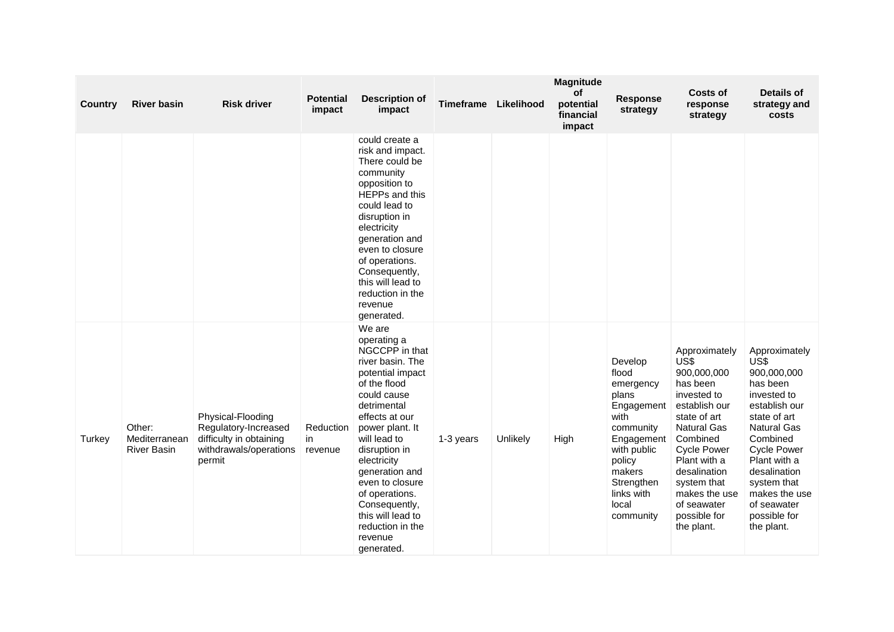| <b>Country</b> | <b>River basin</b>                            | <b>Risk driver</b>                                                                                       | <b>Potential</b><br>impact | <b>Description of</b><br>impact                                                                                                                                                                                                                                                                                                                              | <b>Timeframe</b> | Likelihood | <b>Magnitude</b><br>of<br>potential<br>financial<br>impact | Response<br>strategy                                                                                                                                                         | <b>Costs of</b><br>response<br>strategy                                                                                                                                                                                                                               | <b>Details of</b><br>strategy and<br>costs                                                                                                                                                                                                                            |
|----------------|-----------------------------------------------|----------------------------------------------------------------------------------------------------------|----------------------------|--------------------------------------------------------------------------------------------------------------------------------------------------------------------------------------------------------------------------------------------------------------------------------------------------------------------------------------------------------------|------------------|------------|------------------------------------------------------------|------------------------------------------------------------------------------------------------------------------------------------------------------------------------------|-----------------------------------------------------------------------------------------------------------------------------------------------------------------------------------------------------------------------------------------------------------------------|-----------------------------------------------------------------------------------------------------------------------------------------------------------------------------------------------------------------------------------------------------------------------|
|                |                                               |                                                                                                          |                            | could create a<br>risk and impact.<br>There could be<br>community<br>opposition to<br>HEPPs and this<br>could lead to<br>disruption in<br>electricity<br>generation and<br>even to closure<br>of operations.<br>Consequently,<br>this will lead to<br>reduction in the<br>revenue<br>generated.                                                              |                  |            |                                                            |                                                                                                                                                                              |                                                                                                                                                                                                                                                                       |                                                                                                                                                                                                                                                                       |
| Turkey         | Other:<br>Mediterranean<br><b>River Basin</b> | Physical-Flooding<br>Regulatory-Increased<br>difficulty in obtaining<br>withdrawals/operations<br>permit | Reduction<br>in<br>revenue | We are<br>operating a<br>NGCCPP in that<br>river basin. The<br>potential impact<br>of the flood<br>could cause<br>detrimental<br>effects at our<br>power plant. It<br>will lead to<br>disruption in<br>electricity<br>generation and<br>even to closure<br>of operations.<br>Consequently,<br>this will lead to<br>reduction in the<br>revenue<br>generated. | 1-3 years        | Unlikely   | High                                                       | Develop<br>flood<br>emergency<br>plans<br>Engagement<br>with<br>community<br>Engagement<br>with public<br>policy<br>makers<br>Strengthen<br>links with<br>local<br>community | Approximately<br>US\$<br>900,000,000<br>has been<br>invested to<br>establish our<br>state of art<br><b>Natural Gas</b><br>Combined<br><b>Cycle Power</b><br>Plant with a<br>desalination<br>system that<br>makes the use<br>of seawater<br>possible for<br>the plant. | Approximately<br>US\$<br>900,000,000<br>has been<br>invested to<br>establish our<br>state of art<br><b>Natural Gas</b><br>Combined<br><b>Cycle Power</b><br>Plant with a<br>desalination<br>system that<br>makes the use<br>of seawater<br>possible for<br>the plant. |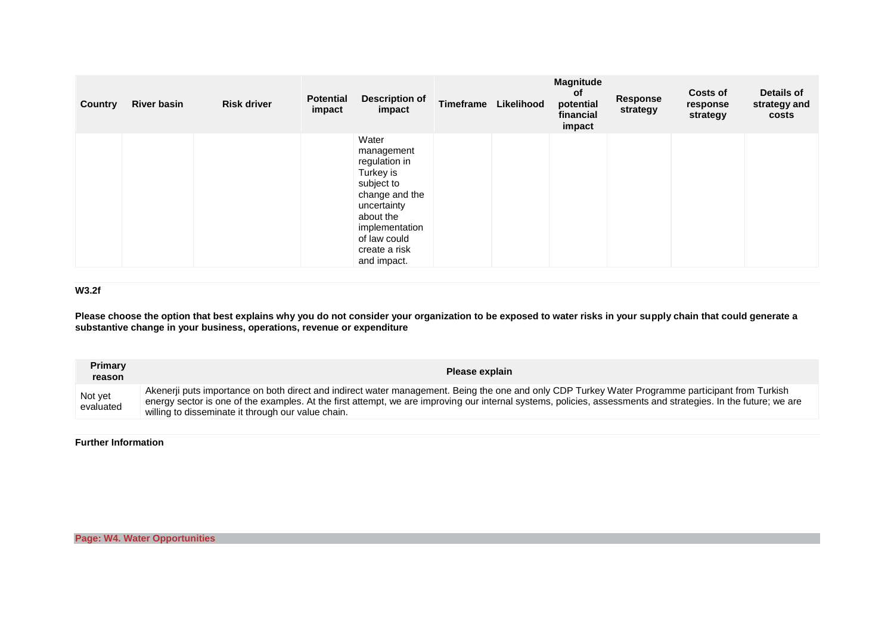| Country | <b>River basin</b> | <b>Risk driver</b> | <b>Potential</b><br>impact | <b>Description of</b><br>impact                                                                                                                                                 | Timeframe | Likelihood | Magnitude<br><b>of</b><br>potential<br>financial<br>impact | <b>Response</b><br>strategy | <b>Costs of</b><br>response<br>strategy | Details of<br>strategy and<br>costs |
|---------|--------------------|--------------------|----------------------------|---------------------------------------------------------------------------------------------------------------------------------------------------------------------------------|-----------|------------|------------------------------------------------------------|-----------------------------|-----------------------------------------|-------------------------------------|
|         |                    |                    |                            | Water<br>management<br>regulation in<br>Turkey is<br>subject to<br>change and the<br>uncertainty<br>about the<br>implementation<br>of law could<br>create a risk<br>and impact. |           |            |                                                            |                             |                                         |                                     |

### **W3.2f**

**Please choose the option that best explains why you do not consider your organization to be exposed to water risks in your supply chain that could generate a substantive change in your business, operations, revenue or expenditure**

| <b>Primary</b><br>reason | Please explain                                                                                                                                                                                                                                                                                                                                                            |
|--------------------------|---------------------------------------------------------------------------------------------------------------------------------------------------------------------------------------------------------------------------------------------------------------------------------------------------------------------------------------------------------------------------|
| Not yet<br>evaluated     | Akenerii puts importance on both direct and indirect water management. Being the one and only CDP Turkey Water Programme participant from Turkish<br>energy sector is one of the examples. At the first attempt, we are improving our internal systems, policies, assessments and strategies. In the future; we are<br>willing to disseminate it through our value chain. |

**Further Information**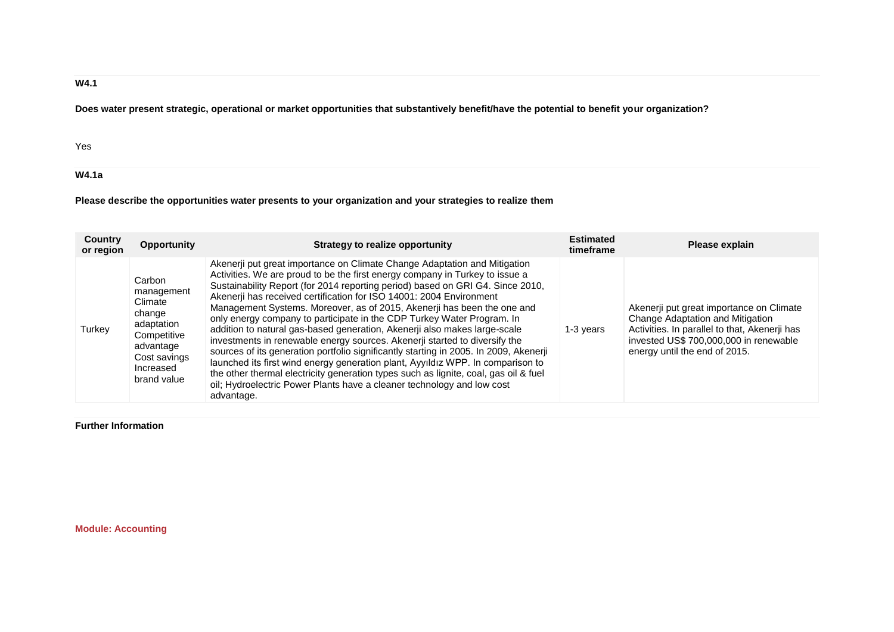## **W4.1**

**Does water present strategic, operational or market opportunities that substantively benefit/have the potential to benefit your organization?**

Yes

**W4.1a**

**Please describe the opportunities water presents to your organization and your strategies to realize them**

| Country<br>or region | Opportunity                                                                                                                     | Strategy to realize opportunity                                                                                                                                                                                                                                                                                                                                                                                                                                                                                                                                                                                                                                                                                                                                                                                                                                                                                                                                                                | <b>Estimated</b><br>timeframe | Please explain                                                                                                                                                                                           |
|----------------------|---------------------------------------------------------------------------------------------------------------------------------|------------------------------------------------------------------------------------------------------------------------------------------------------------------------------------------------------------------------------------------------------------------------------------------------------------------------------------------------------------------------------------------------------------------------------------------------------------------------------------------------------------------------------------------------------------------------------------------------------------------------------------------------------------------------------------------------------------------------------------------------------------------------------------------------------------------------------------------------------------------------------------------------------------------------------------------------------------------------------------------------|-------------------------------|----------------------------------------------------------------------------------------------------------------------------------------------------------------------------------------------------------|
| Turkey               | Carbon<br>management<br>Climate<br>change<br>adaptation<br>Competitive<br>advantage<br>Cost savings<br>Increased<br>brand value | Akenerji put great importance on Climate Change Adaptation and Mitigation<br>Activities. We are proud to be the first energy company in Turkey to issue a<br>Sustainability Report (for 2014 reporting period) based on GRI G4. Since 2010,<br>Akenerji has received certification for ISO 14001: 2004 Environment<br>Management Systems. Moreover, as of 2015, Akenerji has been the one and<br>only energy company to participate in the CDP Turkey Water Program. In<br>addition to natural gas-based generation, Akenerji also makes large-scale<br>investments in renewable energy sources. Akenerji started to diversify the<br>sources of its generation portfolio significantly starting in 2005. In 2009, Akenerji<br>launched its first wind energy generation plant, Ayyıldız WPP. In comparison to<br>the other thermal electricity generation types such as lignite, coal, gas oil & fuel<br>oil; Hydroelectric Power Plants have a cleaner technology and low cost<br>advantage. | 1-3 years                     | Akenerii put great importance on Climate<br>Change Adaptation and Mitigation<br>Activities. In parallel to that, Akenerji has<br>invested US\$ 700,000,000 in renewable<br>energy until the end of 2015. |

**Further Information**

**Module: Accounting**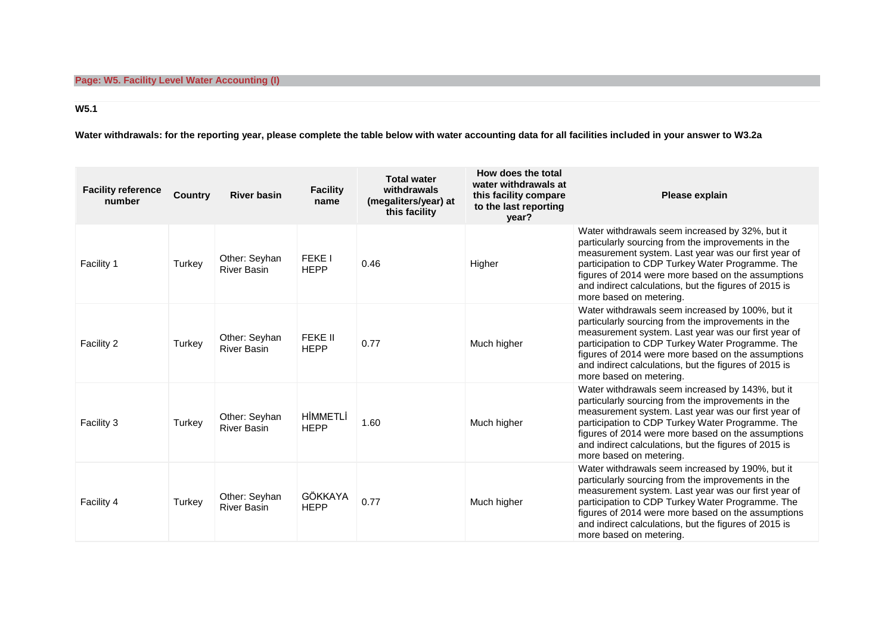# **W5.1**

**Water withdrawals: for the reporting year, please complete the table below with water accounting data for all facilities included in your answer to W3.2a**

| <b>Facility reference</b><br>number | <b>Country</b> | <b>River basin</b>                  | <b>Facility</b><br>name      | <b>Total water</b><br>withdrawals<br>(megaliters/year) at<br>this facility | How does the total<br>water withdrawals at<br>this facility compare<br>to the last reporting<br>year? | Please explain                                                                                                                                                                                                                                                                                                                                              |
|-------------------------------------|----------------|-------------------------------------|------------------------------|----------------------------------------------------------------------------|-------------------------------------------------------------------------------------------------------|-------------------------------------------------------------------------------------------------------------------------------------------------------------------------------------------------------------------------------------------------------------------------------------------------------------------------------------------------------------|
| Facility 1                          | Turkey         | Other: Seyhan<br><b>River Basin</b> | <b>FEKE I</b><br><b>HEPP</b> | 0.46                                                                       | Higher                                                                                                | Water withdrawals seem increased by 32%, but it<br>particularly sourcing from the improvements in the<br>measurement system. Last year was our first year of<br>participation to CDP Turkey Water Programme. The<br>figures of 2014 were more based on the assumptions<br>and indirect calculations, but the figures of 2015 is<br>more based on metering.  |
| Facility 2                          | Turkey         | Other: Seyhan<br><b>River Basin</b> | FEKE II<br><b>HEPP</b>       | 0.77                                                                       | Much higher                                                                                           | Water withdrawals seem increased by 100%, but it<br>particularly sourcing from the improvements in the<br>measurement system. Last year was our first year of<br>participation to CDP Turkey Water Programme. The<br>figures of 2014 were more based on the assumptions<br>and indirect calculations, but the figures of 2015 is<br>more based on metering. |
| Facility 3                          | Turkey         | Other: Seyhan<br><b>River Basin</b> | HİMMETLİ<br><b>HEPP</b>      | 1.60                                                                       | Much higher                                                                                           | Water withdrawals seem increased by 143%, but it<br>particularly sourcing from the improvements in the<br>measurement system. Last year was our first year of<br>participation to CDP Turkey Water Programme. The<br>figures of 2014 were more based on the assumptions<br>and indirect calculations, but the figures of 2015 is<br>more based on metering. |
| Facility 4                          | Turkey         | Other: Seyhan<br><b>River Basin</b> | GÖKKAYA<br><b>HEPP</b>       | 0.77                                                                       | Much higher                                                                                           | Water withdrawals seem increased by 190%, but it<br>particularly sourcing from the improvements in the<br>measurement system. Last year was our first year of<br>participation to CDP Turkey Water Programme. The<br>figures of 2014 were more based on the assumptions<br>and indirect calculations, but the figures of 2015 is<br>more based on metering. |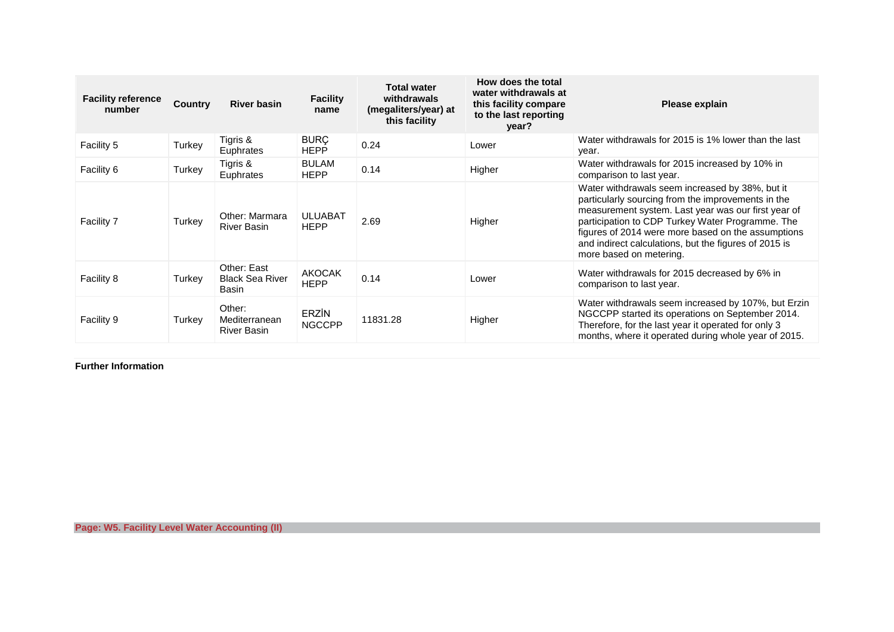| <b>Facility reference</b><br>number | <b>Country</b> | <b>River basin</b>                             | <b>Facility</b><br>name       | <b>Total water</b><br>withdrawals<br>(megaliters/year) at<br>this facility | How does the total<br>water withdrawals at<br>this facility compare<br>to the last reporting<br>year? | Please explain                                                                                                                                                                                                                                                                                                                                             |
|-------------------------------------|----------------|------------------------------------------------|-------------------------------|----------------------------------------------------------------------------|-------------------------------------------------------------------------------------------------------|------------------------------------------------------------------------------------------------------------------------------------------------------------------------------------------------------------------------------------------------------------------------------------------------------------------------------------------------------------|
| Facility 5                          | Turkey         | Tigris &<br>Euphrates                          | <b>BURÇ</b><br><b>HEPP</b>    | 0.24                                                                       | Lower                                                                                                 | Water withdrawals for 2015 is 1% lower than the last<br>year.                                                                                                                                                                                                                                                                                              |
| Facility 6                          | Turkey         | Tigris &<br>Euphrates                          | <b>BULAM</b><br><b>HEPP</b>   | 0.14                                                                       | Higher                                                                                                | Water withdrawals for 2015 increased by 10% in<br>comparison to last year.                                                                                                                                                                                                                                                                                 |
| <b>Facility 7</b>                   | Turkey         | Other: Marmara<br><b>River Basin</b>           | <b>ULUABAT</b><br><b>HEPP</b> | 2.69                                                                       | Higher                                                                                                | Water withdrawals seem increased by 38%, but it<br>particularly sourcing from the improvements in the<br>measurement system. Last year was our first year of<br>participation to CDP Turkey Water Programme. The<br>figures of 2014 were more based on the assumptions<br>and indirect calculations, but the figures of 2015 is<br>more based on metering. |
| Facility 8                          | Turkey         | Other: East<br><b>Black Sea River</b><br>Basin | <b>AKOCAK</b><br><b>HEPP</b>  | 0.14                                                                       | Lower                                                                                                 | Water withdrawals for 2015 decreased by 6% in<br>comparison to last year.                                                                                                                                                                                                                                                                                  |
| <b>Facility 9</b>                   | Turkey         | Other:<br>Mediterranean<br><b>River Basin</b>  | <b>ERZIN</b><br><b>NGCCPP</b> | 11831.28                                                                   | Higher                                                                                                | Water withdrawals seem increased by 107%, but Erzin<br>NGCCPP started its operations on September 2014.<br>Therefore, for the last year it operated for only 3<br>months, where it operated during whole year of 2015.                                                                                                                                     |

**Further Information**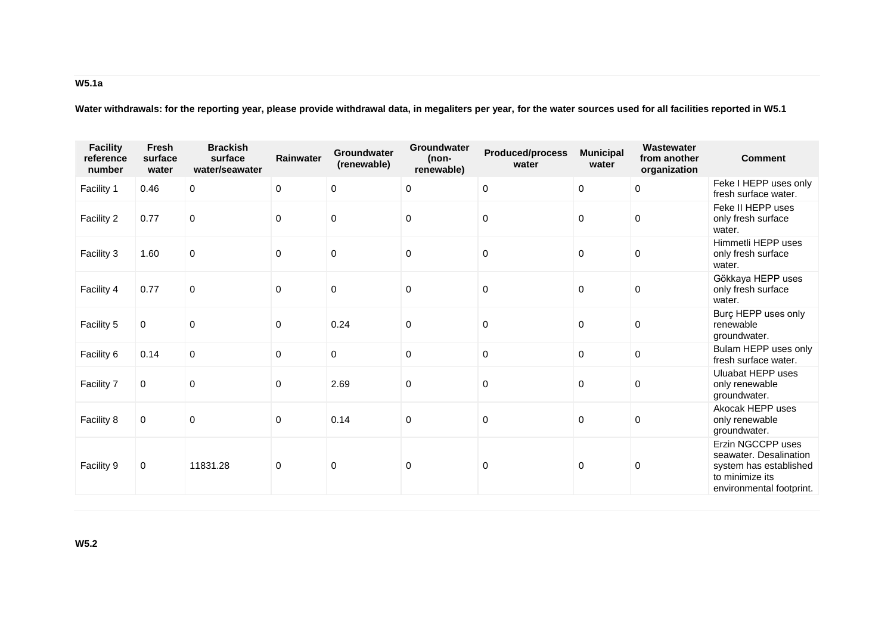# **W5.1a**

**Water withdrawals: for the reporting year, please provide withdrawal data, in megaliters per year, for the water sources used for all facilities reported in W5.1**

| <b>Facility</b><br>reference<br>number | Fresh<br>surface<br>water | <b>Brackish</b><br>surface<br>water/seawater | Rainwater        | Groundwater<br>(renewable) | Groundwater<br>(non-<br>renewable) | Produced/process<br>water | <b>Municipal</b><br>water | Wastewater<br>from another<br>organization | <b>Comment</b>                                                                                                       |
|----------------------------------------|---------------------------|----------------------------------------------|------------------|----------------------------|------------------------------------|---------------------------|---------------------------|--------------------------------------------|----------------------------------------------------------------------------------------------------------------------|
| Facility 1                             | 0.46                      | 0                                            | $\mathbf 0$      | 0                          | $\mathbf 0$                        | $\mathsf{O}\xspace$       | 0                         | 0                                          | Feke I HEPP uses only<br>fresh surface water.                                                                        |
| Facility 2                             | 0.77                      | 0                                            | $\mathbf 0$      | 0                          | $\mathbf 0$                        | $\mathbf 0$               | $\mathbf 0$               | $\mathbf 0$                                | Feke II HEPP uses<br>only fresh surface<br>water.                                                                    |
| Facility 3                             | 1.60                      | 0                                            | $\boldsymbol{0}$ | $\pmb{0}$                  | 0                                  | $\pmb{0}$                 | 0                         | 0                                          | Himmetli HEPP uses<br>only fresh surface<br>water.                                                                   |
| Facility 4                             | 0.77                      | $\Omega$                                     | $\mathbf 0$      | $\pmb{0}$                  | $\Omega$                           | $\mathbf 0$               | $\mathbf 0$               | $\mathbf 0$                                | Gökkaya HEPP uses<br>only fresh surface<br>water.                                                                    |
| Facility 5                             | 0                         | $\Omega$                                     | $\mathbf 0$      | 0.24                       | $\mathbf 0$                        | $\pmb{0}$                 | 0                         | 0                                          | Burç HEPP uses only<br>renewable<br>groundwater.                                                                     |
| Facility 6                             | 0.14                      | $\mathbf 0$                                  | 0                | 0                          | $\mathsf{O}\xspace$                | $\mathbf 0$               | $\mathbf 0$               | 0                                          | Bulam HEPP uses only<br>fresh surface water.                                                                         |
| Facility 7                             | $\mathbf 0$               | 0                                            | $\mathbf 0$      | 2.69                       | $\mathbf 0$                        | $\pmb{0}$                 | $\mathbf 0$               | 0                                          | Uluabat HEPP uses<br>only renewable<br>groundwater.                                                                  |
| Facility 8                             | 0                         | 0                                            | $\mathbf 0$      | 0.14                       | $\pmb{0}$                          | $\pmb{0}$                 | 0                         | $\mathbf 0$                                | Akocak HEPP uses<br>only renewable<br>groundwater.                                                                   |
| Facility 9                             | 0                         | 11831.28                                     | 0                | 0                          | 0                                  | $\pmb{0}$                 | $\mathbf 0$               | 0                                          | Erzin NGCCPP uses<br>seawater, Desalination<br>system has established<br>to minimize its<br>environmental footprint. |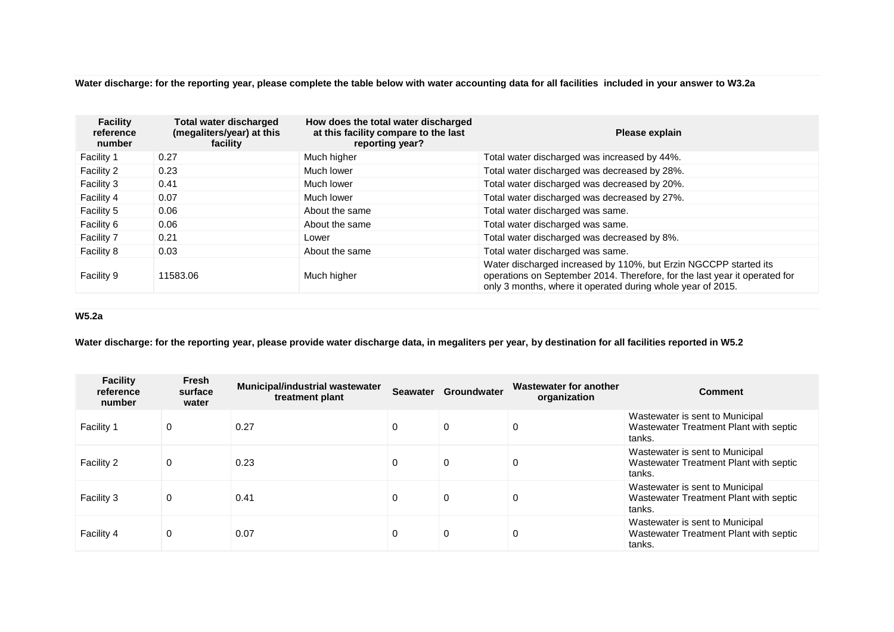**Water discharge: for the reporting year, please complete the table below with water accounting data for all facilities included in your answer to W3.2a**

| <b>Facility</b><br>reference<br>number | <b>Total water discharged</b><br>(megaliters/year) at this<br>facility | How does the total water discharged<br>at this facility compare to the last<br>reporting year? | Please explain                                                                                                                                                                                                |
|----------------------------------------|------------------------------------------------------------------------|------------------------------------------------------------------------------------------------|---------------------------------------------------------------------------------------------------------------------------------------------------------------------------------------------------------------|
| <b>Facility 1</b>                      | 0.27                                                                   | Much higher                                                                                    | Total water discharged was increased by 44%.                                                                                                                                                                  |
| Facility 2                             | 0.23                                                                   | Much lower                                                                                     | Total water discharged was decreased by 28%.                                                                                                                                                                  |
| Facility 3                             | 0.41                                                                   | Much lower                                                                                     | Total water discharged was decreased by 20%.                                                                                                                                                                  |
| Facility 4                             | 0.07                                                                   | Much lower                                                                                     | Total water discharged was decreased by 27%.                                                                                                                                                                  |
| Facility 5                             | 0.06                                                                   | About the same                                                                                 | Total water discharged was same.                                                                                                                                                                              |
| Facility 6                             | 0.06                                                                   | About the same                                                                                 | Total water discharged was same.                                                                                                                                                                              |
| Facility 7                             | 0.21                                                                   | Lower                                                                                          | Total water discharged was decreased by 8%.                                                                                                                                                                   |
| Facility 8                             | 0.03                                                                   | About the same                                                                                 | Total water discharged was same.                                                                                                                                                                              |
| Facility 9                             | 11583.06                                                               | Much higher                                                                                    | Water discharged increased by 110%, but Erzin NGCCPP started its<br>operations on September 2014. Therefore, for the last year it operated for<br>only 3 months, where it operated during whole year of 2015. |

## **W5.2a**

**Water discharge: for the reporting year, please provide water discharge data, in megaliters per year, by destination for all facilities reported in W5.2**

| <b>Facility</b><br>reference<br>number | Fresh<br>surface<br>water | <b>Municipal/industrial wastewater</b><br>treatment plant | <b>Seawater</b> | Groundwater | Wastewater for another<br>organization | <b>Comment</b>                                                                      |
|----------------------------------------|---------------------------|-----------------------------------------------------------|-----------------|-------------|----------------------------------------|-------------------------------------------------------------------------------------|
| Facility 1                             | 0                         | 0.27                                                      | $\Omega$        | $\Omega$    | 0                                      | Wastewater is sent to Municipal<br>Wastewater Treatment Plant with septic<br>tanks. |
| Facility 2                             | 0                         | 0.23                                                      | 0               | $\Omega$    | 0                                      | Wastewater is sent to Municipal<br>Wastewater Treatment Plant with septic<br>tanks. |
| Facility 3                             | 0                         | 0.41                                                      | 0               | $\Omega$    | 0                                      | Wastewater is sent to Municipal<br>Wastewater Treatment Plant with septic<br>tanks. |
| Facility 4                             | 0                         | 0.07                                                      | 0               | $\Omega$    | 0                                      | Wastewater is sent to Municipal<br>Wastewater Treatment Plant with septic<br>tanks. |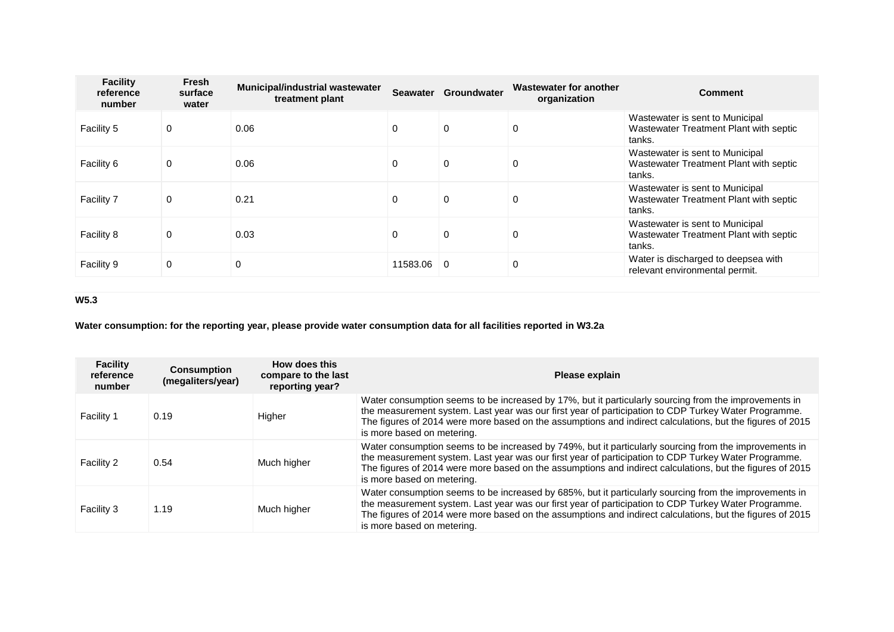| <b>Facility</b><br>reference<br>number | <b>Fresh</b><br>surface<br>water | <b>Municipal/industrial wastewater</b><br>treatment plant | <b>Seawater</b> | Groundwater    | Wastewater for another<br>organization | <b>Comment</b>                                                                      |
|----------------------------------------|----------------------------------|-----------------------------------------------------------|-----------------|----------------|----------------------------------------|-------------------------------------------------------------------------------------|
| Facility 5                             | $\Omega$                         | 0.06                                                      | 0               | $\Omega$       | $\Omega$                               | Wastewater is sent to Municipal<br>Wastewater Treatment Plant with septic<br>tanks. |
| Facility 6                             | 0                                | 0.06                                                      | 0               | $\Omega$       | 0                                      | Wastewater is sent to Municipal<br>Wastewater Treatment Plant with septic<br>tanks. |
| Facility 7                             | 0                                | 0.21                                                      | 0               | 0              | 0                                      | Wastewater is sent to Municipal<br>Wastewater Treatment Plant with septic<br>tanks. |
| Facility 8                             | $\Omega$                         | 0.03                                                      | 0               | $\Omega$       | 0                                      | Wastewater is sent to Municipal<br>Wastewater Treatment Plant with septic<br>tanks. |
| Facility 9                             | 0                                | 0                                                         | 11583.06        | $\overline{0}$ | 0                                      | Water is discharged to deepsea with<br>relevant environmental permit.               |

## **W5.3**

# **Water consumption: for the reporting year, please provide water consumption data for all facilities reported in W3.2a**

| <b>Facility</b><br>reference<br>number | <b>Consumption</b><br>(megaliters/year) | How does this<br>compare to the last<br>reporting year? | Please explain                                                                                                                                                                                                                                                                                                                                            |
|----------------------------------------|-----------------------------------------|---------------------------------------------------------|-----------------------------------------------------------------------------------------------------------------------------------------------------------------------------------------------------------------------------------------------------------------------------------------------------------------------------------------------------------|
| <b>Facility 1</b>                      | 0.19                                    | Higher                                                  | Water consumption seems to be increased by 17%, but it particularly sourcing from the improvements in<br>the measurement system. Last year was our first year of participation to CDP Turkey Water Programme.<br>The figures of 2014 were more based on the assumptions and indirect calculations, but the figures of 2015<br>is more based on metering.  |
| Facility 2                             | 0.54                                    | Much higher                                             | Water consumption seems to be increased by 749%, but it particularly sourcing from the improvements in<br>the measurement system. Last year was our first year of participation to CDP Turkey Water Programme.<br>The figures of 2014 were more based on the assumptions and indirect calculations, but the figures of 2015<br>is more based on metering. |
| Facility 3                             | 1.19                                    | Much higher                                             | Water consumption seems to be increased by 685%, but it particularly sourcing from the improvements in<br>the measurement system. Last year was our first year of participation to CDP Turkey Water Programme.<br>The figures of 2014 were more based on the assumptions and indirect calculations, but the figures of 2015<br>is more based on metering. |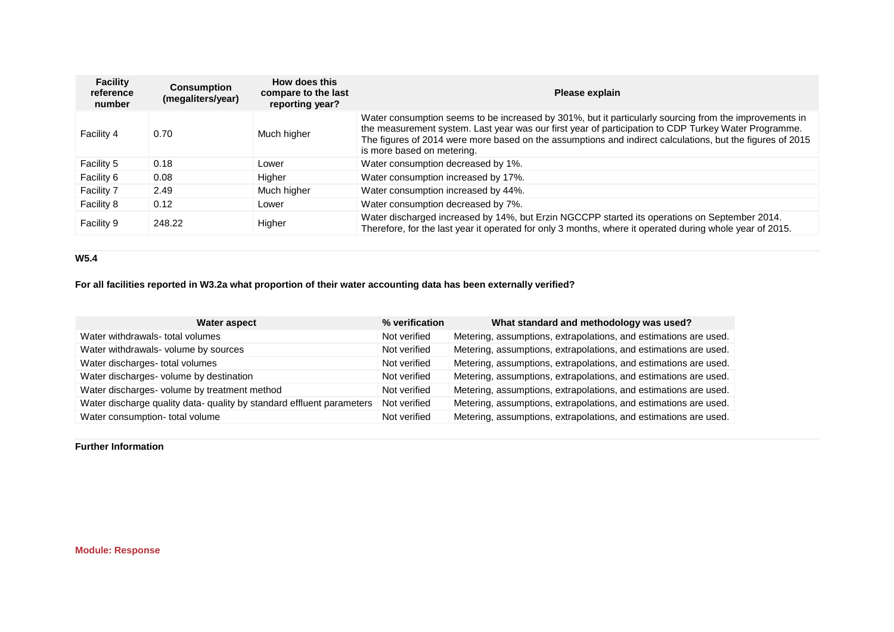| <b>Facility</b><br>reference<br>number | <b>Consumption</b><br>(megaliters/year) | How does this<br>compare to the last<br>reporting year? | Please explain                                                                                                                                                                                                                                                                                                                                            |
|----------------------------------------|-----------------------------------------|---------------------------------------------------------|-----------------------------------------------------------------------------------------------------------------------------------------------------------------------------------------------------------------------------------------------------------------------------------------------------------------------------------------------------------|
| Facility 4                             | 0.70                                    | Much higher                                             | Water consumption seems to be increased by 301%, but it particularly sourcing from the improvements in<br>the measurement system. Last year was our first year of participation to CDP Turkey Water Programme.<br>The figures of 2014 were more based on the assumptions and indirect calculations, but the figures of 2015<br>is more based on metering. |
| Facility 5                             | 0.18                                    | Lower                                                   | Water consumption decreased by 1%.                                                                                                                                                                                                                                                                                                                        |
| Facility 6                             | 0.08                                    | Higher                                                  | Water consumption increased by 17%.                                                                                                                                                                                                                                                                                                                       |
| Facility 7                             | 2.49                                    | Much higher                                             | Water consumption increased by 44%.                                                                                                                                                                                                                                                                                                                       |
| Facility 8                             | 0.12                                    | Lower                                                   | Water consumption decreased by 7%.                                                                                                                                                                                                                                                                                                                        |
| Facility 9                             | 248.22                                  | Higher                                                  | Water discharged increased by 14%, but Erzin NGCCPP started its operations on September 2014.<br>Therefore, for the last year it operated for only 3 months, where it operated during whole year of 2015.                                                                                                                                                 |

## **W5.4**

**For all facilities reported in W3.2a what proportion of their water accounting data has been externally verified?**

| <b>Water aspect</b>                                                   | % verification | What standard and methodology was used?                          |
|-----------------------------------------------------------------------|----------------|------------------------------------------------------------------|
| Water withdrawals- total volumes                                      | Not verified   | Metering, assumptions, extrapolations, and estimations are used. |
| Water withdrawals- volume by sources                                  | Not verified   | Metering, assumptions, extrapolations, and estimations are used. |
| Water discharges- total volumes                                       | Not verified   | Metering, assumptions, extrapolations, and estimations are used. |
| Water discharges- volume by destination                               | Not verified   | Metering, assumptions, extrapolations, and estimations are used. |
| Water discharges- volume by treatment method                          | Not verified   | Metering, assumptions, extrapolations, and estimations are used. |
| Water discharge quality data- quality by standard effluent parameters | Not verified   | Metering, assumptions, extrapolations, and estimations are used. |
| Water consumption- total volume                                       | Not verified   | Metering, assumptions, extrapolations, and estimations are used. |

**Further Information**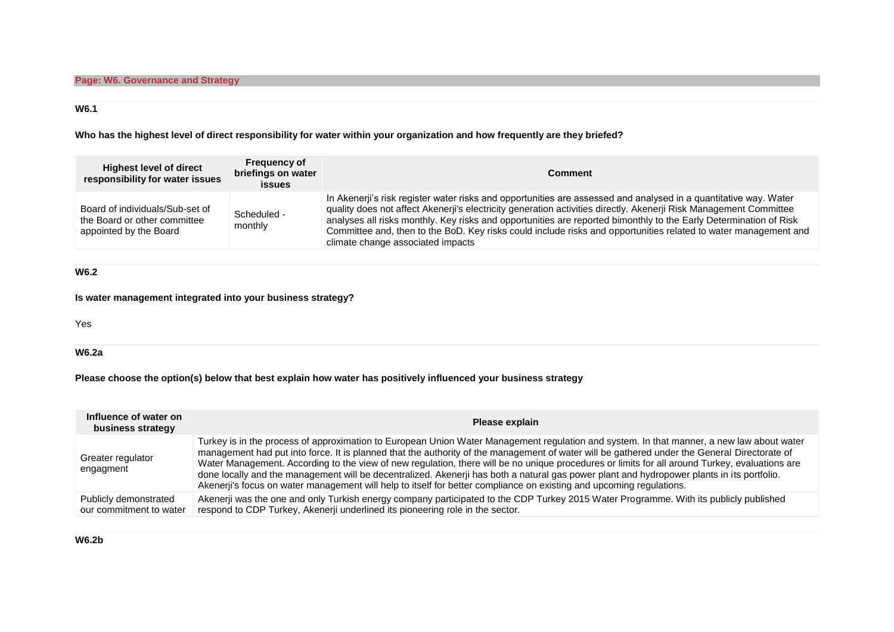### **W6.1**

**Who has the highest level of direct responsibility for water within your organization and how frequently are they briefed?**

| <b>Highest level of direct</b><br>responsibility for water issues                         | <b>Frequency of</b><br>briefings on water<br><b>issues</b> | <b>Comment</b>                                                                                                                                                                                                                                                                                                                                                                                                                                                                                                     |
|-------------------------------------------------------------------------------------------|------------------------------------------------------------|--------------------------------------------------------------------------------------------------------------------------------------------------------------------------------------------------------------------------------------------------------------------------------------------------------------------------------------------------------------------------------------------------------------------------------------------------------------------------------------------------------------------|
| Board of individuals/Sub-set of<br>the Board or other committee<br>appointed by the Board | Scheduled -<br>monthly                                     | In Akenerji's risk register water risks and opportunities are assessed and analysed in a quantitative way. Water<br>quality does not affect Akenerji's electricity generation activities directly. Akenerji Risk Management Committee<br>analyses all risks monthly. Key risks and opportunities are reported bimonthly to the Early Determination of Risk<br>Committee and, then to the BoD. Key risks could include risks and opportunities related to water management and<br>climate change associated impacts |

**W6.2**

### **Is water management integrated into your business strategy?**

Yes

**W6.2a**

### **Please choose the option(s) below that best explain how water has positively influenced your business strategy**

| Influence of water on<br>business strategy       | Please explain                                                                                                                                                                                                                                                                                                                                                                                                                                                                                                                                                                                                                                                                                                    |
|--------------------------------------------------|-------------------------------------------------------------------------------------------------------------------------------------------------------------------------------------------------------------------------------------------------------------------------------------------------------------------------------------------------------------------------------------------------------------------------------------------------------------------------------------------------------------------------------------------------------------------------------------------------------------------------------------------------------------------------------------------------------------------|
| Greater regulator<br>engagment                   | Turkey is in the process of approximation to European Union Water Management regulation and system. In that manner, a new law about water<br>management had put into force. It is planned that the authority of the management of water will be gathered under the General Directorate of<br>Water Management. According to the view of new regulation, there will be no unique procedures or limits for all around Turkey, evaluations are<br>done locally and the management will be decentralized. Akenerji has both a natural gas power plant and hydropower plants in its portfolio.<br>Akenerji's focus on water management will help to itself for better compliance on existing and upcoming regulations. |
| Publicly demonstrated<br>our commitment to water | Akenerji was the one and only Turkish energy company participated to the CDP Turkey 2015 Water Programme. With its publicly published<br>respond to CDP Turkey, Akenerji underlined its pioneering role in the sector.                                                                                                                                                                                                                                                                                                                                                                                                                                                                                            |

### **W6.2b**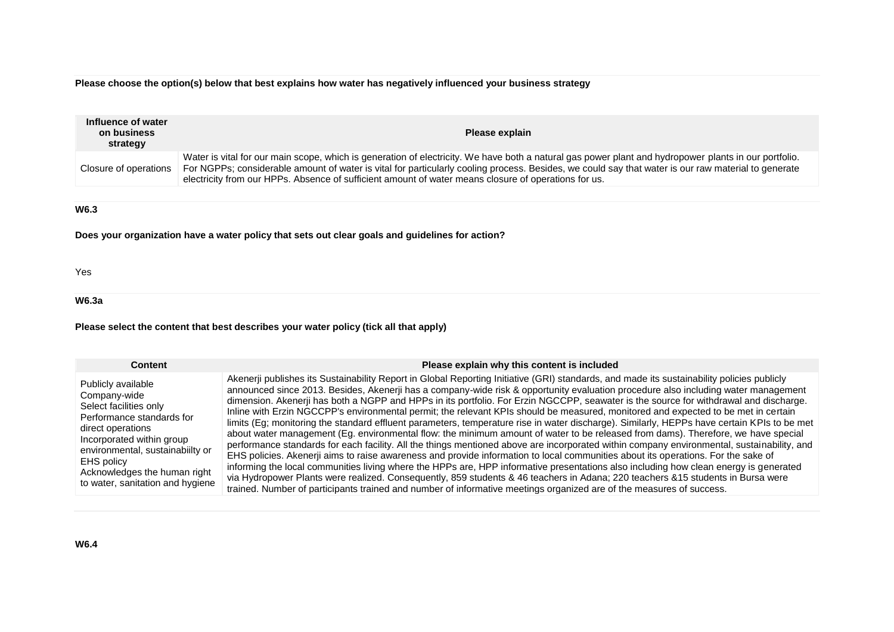**Please choose the option(s) below that best explains how water has negatively influenced your business strategy**

| Influence of water<br>on business<br>strategy | Please explain                                                                                                                                                                                                                                                                                                                                                                                                       |
|-----------------------------------------------|----------------------------------------------------------------------------------------------------------------------------------------------------------------------------------------------------------------------------------------------------------------------------------------------------------------------------------------------------------------------------------------------------------------------|
| Closure of operations                         | Water is vital for our main scope, which is generation of electricity. We have both a natural gas power plant and hydropower plants in our portfolio.<br>For NGPPs; considerable amount of water is vital for particularly cooling process. Besides, we could say that water is our raw material to generate<br>electricity from our HPPs. Absence of sufficient amount of water means closure of operations for us. |
| W6.3                                          | Does your organization have a water policy that sets out clear goals and quidelines for action?                                                                                                                                                                                                                                                                                                                      |

Yes

#### **W6.3a**

#### **Please select the content that best describes your water policy (tick all that apply)**

**Content Please explain why this content is included Please explain why this content is included** 

Publicly available Company-wide Select facilities only Performance standards for direct operations Incorporated within group environmental, sustainabiilty or EHS policy Acknowledges the human right to water, sanitation and hygiene

#### Akenerji publishes its Sustainability Report in Global Reporting Initiative (GRI) standards, and made its sustainability policies publicly announced since 2013. Besides, Akenerji has a company-wide risk & opportunity evaluation procedure also including water management dimension. Akenerji has both a NGPP and HPPs in its portfolio. For Erzin NGCCPP, seawater is the source for withdrawal and discharge. Inline with Erzin NGCCPP's environmental permit; the relevant KPIs should be measured, monitored and expected to be met in certain limits (Eg; monitoring the standard effluent parameters, temperature rise in water discharge). Similarly, HEPPs have certain KPIs to be met about water management (Eg. environmental flow: the minimum amount of water to be released from dams). Therefore, we have special performance standards for each facility. All the things mentioned above are incorporated within company environmental, sustainability, and EHS policies. Akenerji aims to raise awareness and provide information to local communities about its operations. For the sake of informing the local communities living where the HPPs are, HPP informative presentations also including how clean energy is generated via Hydropower Plants were realized. Consequently, 859 students & 46 teachers in Adana; 220 teachers &15 students in Bursa were trained. Number of participants trained and number of informative meetings organized are of the measures of success.

#### **W6.4**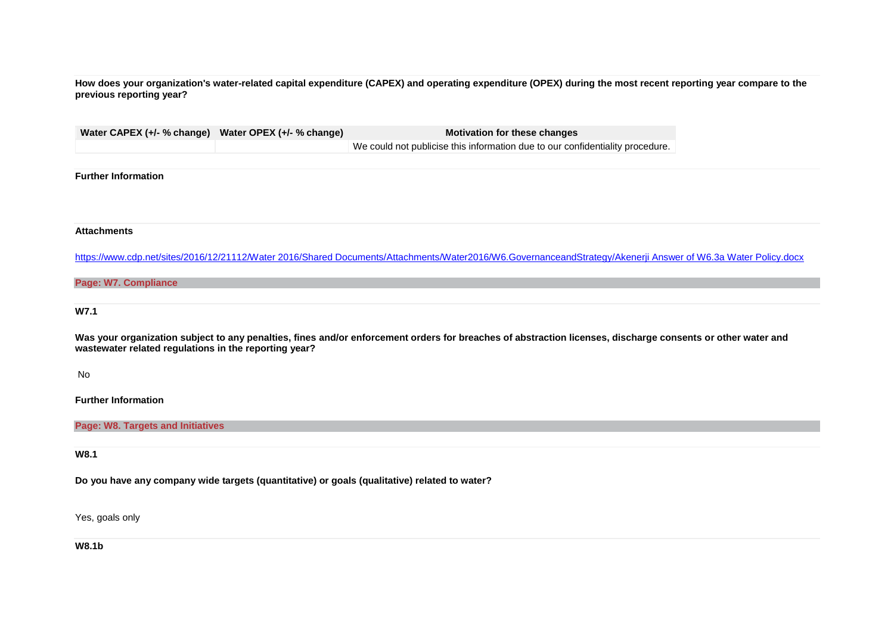**How does your organization's water-related capital expenditure (CAPEX) and operating expenditure (OPEX) during the most recent reporting year compare to the previous reporting year?**

|                                                       | Water CAPEX (+/- % change) Water OPEX (+/- % change) | <b>Motivation for these changes</b>                                                                                                                           |  |
|-------------------------------------------------------|------------------------------------------------------|---------------------------------------------------------------------------------------------------------------------------------------------------------------|--|
|                                                       |                                                      | We could not publicise this information due to our confidentiality procedure.                                                                                 |  |
|                                                       |                                                      |                                                                                                                                                               |  |
| <b>Further Information</b>                            |                                                      |                                                                                                                                                               |  |
|                                                       |                                                      |                                                                                                                                                               |  |
|                                                       |                                                      |                                                                                                                                                               |  |
|                                                       |                                                      |                                                                                                                                                               |  |
| <b>Attachments</b>                                    |                                                      |                                                                                                                                                               |  |
|                                                       |                                                      |                                                                                                                                                               |  |
|                                                       |                                                      | https://www.cdp.net/sites/2016/12/21112/Water 2016/Shared Documents/Attachments/Water2016/W6.GovernanceandStrategy/Akenerji Answer of W6.3a Water Policy.docx |  |
| <b>Page: W7. Compliance</b>                           |                                                      |                                                                                                                                                               |  |
|                                                       |                                                      |                                                                                                                                                               |  |
|                                                       |                                                      |                                                                                                                                                               |  |
|                                                       |                                                      |                                                                                                                                                               |  |
| <b>W7.1</b>                                           |                                                      |                                                                                                                                                               |  |
|                                                       |                                                      |                                                                                                                                                               |  |
| wastewater related regulations in the reporting year? |                                                      | Was your organization subject to any penalties, fines and/or enforcement orders for breaches of abstraction licenses, discharge consents or other water and   |  |
|                                                       |                                                      |                                                                                                                                                               |  |
| <b>No</b>                                             |                                                      |                                                                                                                                                               |  |

**Further Information**

**Page: W8. Targets and Initiatives**

**W8.1**

**Do you have any company wide targets (quantitative) or goals (qualitative) related to water?**

Yes, goals only

**W8.1b**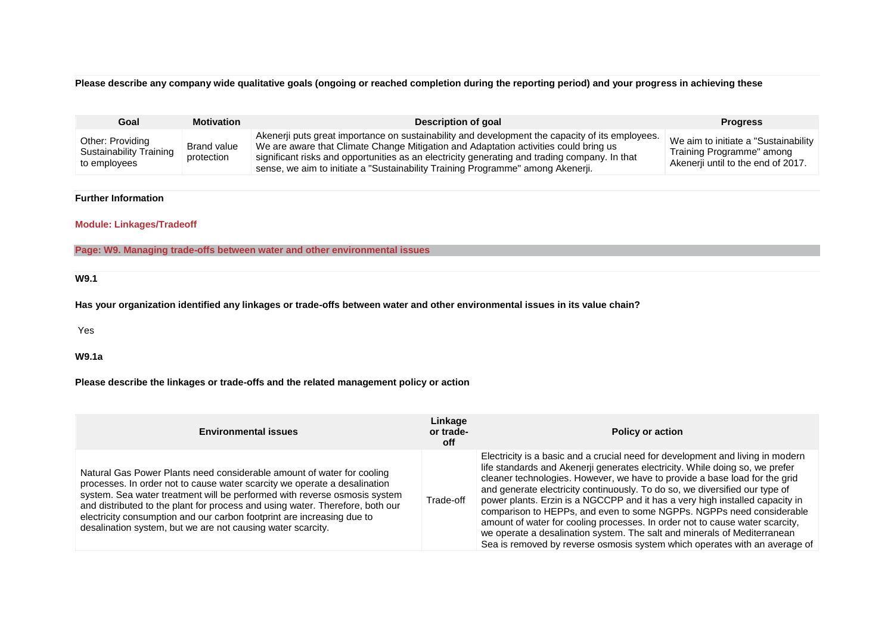# **Please describe any company wide qualitative goals (ongoing or reached completion during the reporting period) and your progress in achieving these**

| Goal                                                                       | <b>Motivation</b>         | <b>Description of goal</b>                                                                                                                                                                                                                                                                                                                                                  | <b>Progress</b>                                                                                          |  |
|----------------------------------------------------------------------------|---------------------------|-----------------------------------------------------------------------------------------------------------------------------------------------------------------------------------------------------------------------------------------------------------------------------------------------------------------------------------------------------------------------------|----------------------------------------------------------------------------------------------------------|--|
| Other: Providing<br><b>Sustainability Training</b><br>to employees         | Brand value<br>protection | Akenerji puts great importance on sustainability and development the capacity of its employees.<br>We are aware that Climate Change Mitigation and Adaptation activities could bring us<br>significant risks and opportunities as an electricity generating and trading company. In that<br>sense, we aim to initiate a "Sustainability Training Programme" among Akenerji. | We aim to initiate a "Sustainability"<br>Training Programme" among<br>Akenerii until to the end of 2017. |  |
|                                                                            |                           |                                                                                                                                                                                                                                                                                                                                                                             |                                                                                                          |  |
| <b>Further Information</b>                                                 |                           |                                                                                                                                                                                                                                                                                                                                                                             |                                                                                                          |  |
| <b>Module: Linkages/Tradeoff</b>                                           |                           |                                                                                                                                                                                                                                                                                                                                                                             |                                                                                                          |  |
| Page: W9. Managing trade-offs between water and other environmental issues |                           |                                                                                                                                                                                                                                                                                                                                                                             |                                                                                                          |  |
|                                                                            |                           |                                                                                                                                                                                                                                                                                                                                                                             |                                                                                                          |  |
| W9.1                                                                       |                           |                                                                                                                                                                                                                                                                                                                                                                             |                                                                                                          |  |
|                                                                            |                           | Has your organization identified any linkages or trade-offs between water and other environmental issues in its value chain?                                                                                                                                                                                                                                                |                                                                                                          |  |
| Yes                                                                        |                           |                                                                                                                                                                                                                                                                                                                                                                             |                                                                                                          |  |
| <b>W9.1a</b>                                                               |                           |                                                                                                                                                                                                                                                                                                                                                                             |                                                                                                          |  |

**Please describe the linkages or trade-offs and the related management policy or action**

| <b>Environmental issues</b>                                                                                                                                                                                                                                                                                                                                                                                                                                | Linkage<br>or trade-<br><b>off</b> | <b>Policy or action</b>                                                                                                                                                                                                                                                                                                                                                                                                                                                                                                                                                                                                                                                                                                       |
|------------------------------------------------------------------------------------------------------------------------------------------------------------------------------------------------------------------------------------------------------------------------------------------------------------------------------------------------------------------------------------------------------------------------------------------------------------|------------------------------------|-------------------------------------------------------------------------------------------------------------------------------------------------------------------------------------------------------------------------------------------------------------------------------------------------------------------------------------------------------------------------------------------------------------------------------------------------------------------------------------------------------------------------------------------------------------------------------------------------------------------------------------------------------------------------------------------------------------------------------|
| Natural Gas Power Plants need considerable amount of water for cooling<br>processes. In order not to cause water scarcity we operate a desalination<br>system. Sea water treatment will be performed with reverse osmosis system<br>and distributed to the plant for process and using water. Therefore, both our<br>electricity consumption and our carbon footprint are increasing due to<br>desalination system, but we are not causing water scarcity. | Trade-off                          | Electricity is a basic and a crucial need for development and living in modern<br>life standards and Akenerii generates electricity. While doing so, we prefer<br>cleaner technologies. However, we have to provide a base load for the grid<br>and generate electricity continuously. To do so, we diversified our type of<br>power plants. Erzin is a NGCCPP and it has a very high installed capacity in<br>comparison to HEPPs, and even to some NGPPs. NGPPs need considerable<br>amount of water for cooling processes. In order not to cause water scarcity,<br>we operate a desalination system. The salt and minerals of Mediterranean<br>Sea is removed by reverse osmosis system which operates with an average of |